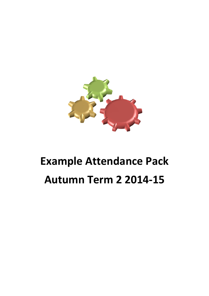

# **Example Attendance Pack Autumn Term 2 2014-15**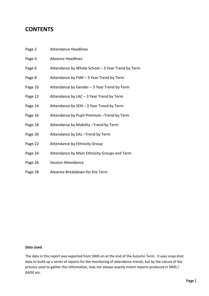### **CONTENTS**

| Page 2  | <b>Attendance Headlines</b>                       |
|---------|---------------------------------------------------|
| Page 4  | <b>Absence Headlines</b>                          |
| Page 6  | Attendance by Whole School - 3 Year Trend by Term |
| Page 8  | Attendance by FSM - 3 Year Trend by Term          |
| Page 10 | Attendance by Gender - 3 Year Trend by Term       |
| Page 12 | Attendance by LAC - 3 Year Trend by Term          |
| Page 14 | Attendance by SEN - 3 Year Trend by Term          |
| Page 16 | Attendance by Pupil Premium - Trend by Term       |
| Page 18 | Attendance by Mobility - Trend by Term            |
| Page 20 | Attendance by EAL-Trend by Term                   |
| Page 22 | Attendance by Ethnicity Group                     |
| Page 24 | Attendance by Main Ethnicity Groups and Term      |
| Page 26 | <b>Session Attendance</b>                         |
|         |                                                   |

Page 28 Absence Breakdown for the Term

#### **Data Used**

The data in this report was exported from SIMS on at the end of the Autumn Term. It uses snap-shot data to build up a series of reports for the monitoring of attendance trends, but by the nature of the process used to gather this information, may not always exactly match reports produced in SIMS / RAISE etc.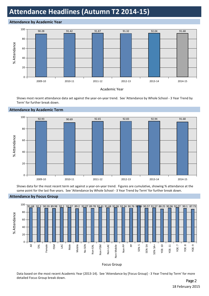### **Attendance Headlines (Autumn T2 2014-15)**

#### **Attendance by Academic Year**



Shows most recent attendance data set against the year-on-year trend. See 'Attendance by Whole School - 3 Year Trend by Term' for further break down.



#### **Attendance by Academic Term**

Shows data for the most recent term set against a year-on-year trend. Figures are cumulative, showing % attendance at the same point for the last five years. See 'Attendance by Whole School - 3 Year Trend by Term' for further break down.



#### **Attendance by Focus Group**

#### Focus Group

Data based on the most recent Academic Year (2013-14). See 'Attendance by [Focus Group] - 3 Year Trend by Term' for more detailed Focus Group break down.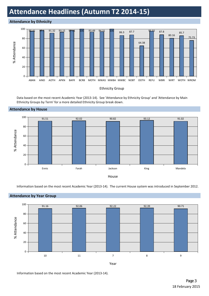### **Attendance Headlines (Autumn T2 2014-15)**

#### **Attendance by Ethnicity**



Data based on the most recent Academic Year (2013-14). See 'Attendance by Ethnicity Group' and 'Attendance by Main Ethnicity Groups by Term' for a more detailed Ethnicity Group break down.



#### **Attendance by House**

Information based on the most recent Academic Year (2013-14). The current House system was introduced in September 2012.



Information based on the most recent Academic Year (2013-14).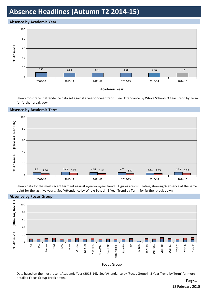### **Absence Headlines (Autumn T2 2014-15)**

#### **Absence by Academic Year**



Shows most recent attendance data set against a year-on-year trend. See 'Attendance by Whole School - 3 Year Trend by Term' for further break down.

#### **Absence by Academic Term**



Shows data for the most recent term set against ayear-on-year trend. Figures are cumulative, showing % absence at the same point for the last five years. See 'Attendance by Whole School - 3 Year Trend by Term' for further break down.



#### **Absence by Focus Group**

#### Focus Group

Data based on the most recent Academic Year (2013-14). See 'Attendance by [Focus Group] - 3 Year Trend by Term' for more detailed Focus Group break down.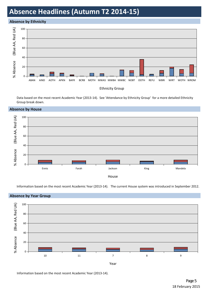### **Absence Headlines (Autumn T2 2014-15)**

#### **Absence by Ethnicity**

 **Absence by House**



Data based on the most recent Academic Year (2013-14). See 'Attendance by Ethnicity Group' for a more detailed Ethnicity Group break down.

# The Board of Second Control and Second Control and Second Control and Second Control and Second Control and Second Control and Second Control and Second Control and Second Control and Second Control and Second Control and % Absence (Blue AA, Red UA) House  $0 -$ 20 40 60 80 100 Ennis Farah Jackson King Mandela

Information based on the most recent Academic Year (2013-14). The current House system was introduced in September 2012.



Information based on the most recent Academic Year (2013-14).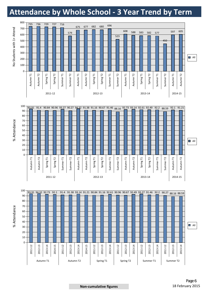### **Attendance by Whole School - 3 Year Trend by Term**









#### **Non-cumulative figures** 18 February 2015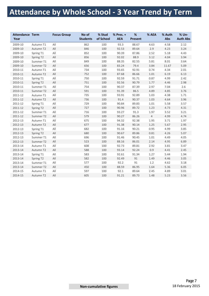### **Attendance by Whole School - 3 Year Trend by Term**

| <b>Attendance Term</b><br>Year |                       | <b>Focus Group</b> | No of<br><b>Students</b> | % Stud<br>of School | % Pres. +<br><b>AEA</b> | %<br><b>Present</b> | % AEA          | % Auth<br>Abs | % Un-<br><b>Auth Abs</b> |
|--------------------------------|-----------------------|--------------------|--------------------------|---------------------|-------------------------|---------------------|----------------|---------------|--------------------------|
| 2009-10                        | Autumn T1             | All                | 862                      | 100                 | 93.3                    | 88.67               | 4.63           | 4.58          | 2.12                     |
| 2009-10                        | Autumn T2             | All                | 846                      | 100                 | 92.53                   | 89.64               | 2.9            | 4.23          | 3.24                     |
| 2009-10                        | Spring T1             | All                | 852                      | 100                 | 90.39                   | 87.86               | 2.52           | 5.18          | 4.43                     |
| 2009-10                        | Spring T <sub>2</sub> | All                | 856                      | 100                 | 92.02                   | 88.9                | 3.12           | 4.04          | 3.94                     |
| 2009-10                        | Summer T1             | All                | 849                      | 100                 | 88.35                   | 82.55               | 5.81           | 8.01          | 3.64                     |
| 2009-10                        | Summer T2             | All                | 656                      | 100                 | 83.24                   | 79.4                | 3.84           | 11.67         | 5.09                     |
| 2010-11                        | Autumn T1             | $\mathsf{All}$     | 734                      | 100                 | 93.65                   | 92.91               | 0.74           | 4.34          | 2.01                     |
| 2010-11                        | Autumn T2             | All                | 752                      | 100                 | 87.68                   | 86.66               | 1.01           | 6.19          | 6.13                     |
| 2010-11                        | Spring T1             | All                | 750                      | 100                 | 92.59                   | 91.71               | 0.87           | 4.99          | 2.42                     |
| 2010-11                        | Spring T2             | All                | 751                      | 100                 | 92.56                   | 90.79               | 1.77           | 4.46          | 2.98                     |
| 2010-11                        | Summer T1             | All                | 754                      | 100                 | 90.37                   | 87.39               | 2.97           | 7.04          | 2.6                      |
| 2010-11                        | Summer T2             | All                | 591                      | 100                 | 91.39                   | 86.5                | 4.89           | 4.85          | 3.76                     |
| 2011-12                        | Autumn T1             | All                | 735                      | 100                 | 93.91                   | 92.89               | 1.03           | 4.38          | 1.71                     |
| 2011-12                        | Autumn T2             | All                | 736                      | 100                 | 91.4                    | 90.37               | 1.03           | 4.64          | 3.96                     |
| 2011-12                        | Spring T1             | All                | 729                      | 100                 | 90.84                   | 89.83               | 1.01           | 5.58          | 3.57                     |
| 2011-12                        | Spring T2             | All                | 727                      | 100                 | 90.96                   | 89.72               | 1.23           | 4.73          | 4.31                     |
| 2011-12                        | Summer T1             | All                | 716                      | 100                 | 93.27                   | 91.3                | 1.97           | 3.52          | 3.21                     |
| 2011-12                        | Summer T2             | All                | 579                      | 100                 | 90.27                   | 86.26               | $\overline{4}$ | 4.99          | 4.74                     |
| 2012-13                        | Autumn T1             | All                | 675                      | 100                 | 94.32                   | 92.38               | 1.95           | 3.71          | 1.97                     |
| 2012-13                        | Autumn T2             | All                | 677                      | 100                 | 91.38                   | 90.14               | 1.25           | 5.67          | 2.95                     |
| 2012-13                        | Spring T1             | All                | 682                      | 100                 | 91.16                   | 90.21               | 0.95           | 4.99          | 3.85                     |
| 2012-13                        | Spring T <sub>2</sub> | All                | 680                      | 100                 | 90.67                   | 89.86               | 0.81           | 4.26          | 5.07                     |
| 2012-13                        | Summer T1             | All                | 696                      | 100                 | 91.46                   | 90.45               | 1.01           | 4.49          | 4.05                     |
| 2012-13                        | Summer T2             | All                | 523                      | 100                 | 88.16                   | 86.01               | 2.14           | 4.95          | 6.89                     |
| 2013-14                        | Autumn T1             | All                | 608                      | 100                 | 92.73                   | 89.81               | 2.92           | 3.81          | 3.47                     |
| 2013-14                        | Autumn T2             | All                | 588                      | 100                 | 93.14                   | 92.24               | 0.9            | 4.41          | 2.45                     |
| 2013-14                        | Spring T1             | All                | 583                      | 100                 | 92.61                   | 91.34               | 1.27           | 5.44          | 1.94                     |
| 2013-14                        | Spring T2             | All                | 582                      | 100                 | 92.49                   | 91                  | 1.49           | 4.46          | 3.05                     |
| 2013-14                        | Summer T1             | All                | 577                      | 100                 | 92.2                    | 91                  | 1.2            | 4.62          | 3.18                     |
| 2013-14                        | Summer T2             | All                | 450                      | 100                 | 88.59                   | 86.95               | 1.64           | 5.36          | 6.05                     |
| 2014-15                        | Autumn T1             | All                | 597                      | 100                 | 92.1                    | 89.64               | 2.45           | 4.89          | 3.01                     |
| 2014-15                        | Autumn T2             | All                | 605                      | 100                 | 91.21                   | 89.73               | 1.48           | 5.23          | 3.56                     |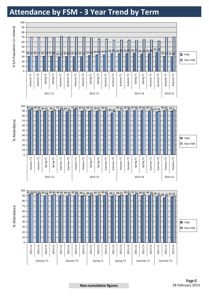### **Attendance by FSM - 3 Year Trend by Term**

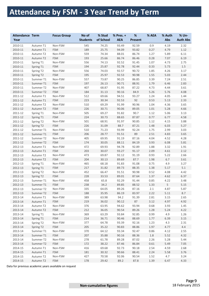### **Attendance by FSM - 3 Year Trend by Term**

| 545<br>74.25<br>93.49<br>92.59<br>0.9<br>4.19<br>2.32<br>2010-11<br>Non-FSM<br>Autumn T1<br>189<br>25.75<br>94.09<br>93.82<br>0.27<br>4.79<br>1.12<br>2010-11<br><b>FSM</b><br>Autumn T1<br>6.11<br>559<br>74.34<br>88.01<br>86.74<br>5.89<br>2010-11<br>Non-FSM<br>1.27<br>Autumn T2<br>193<br>6.19<br>25.66<br>86.74<br>86.46<br>0.28<br>7.07<br>2010-11<br><b>FSM</b><br>Autumn T2<br>556<br>1.07<br>4.73<br>2.75<br>2010-11<br>Non-FSM<br>74.13<br>92.52<br>91.45<br>Spring T1<br>194<br>25.87<br>92.78<br>92.44<br>0.33<br>5.73<br>1.5<br>Spring T1<br><b>FSM</b><br>2010-11<br>556<br>90.72<br>4.26<br>3.17<br>2010-11<br>Spring T2<br>Non-FSM<br>74.03<br>92.57<br>1.85<br>195<br>25.97<br>90.98<br>5.03<br>2.44<br>2010-11<br>Spring T2<br><b>FSM</b><br>92.53<br>1.55<br>557<br>90.25<br>86.85<br>3.39<br>7.24<br>2.51<br>2010-11<br>Non-FSM<br>73.87<br>Summer T1<br>197<br>2.83<br>26.13<br>90.71<br>88.91<br>1.79<br>6.46<br><b>FSM</b><br>2010-11<br>Summer T1<br>3.61<br>407<br>68.87<br>91.95<br>87.22<br>4.44<br>2010-11<br>Non-FSM<br>4.73<br>Summer T2<br>4.08<br>184<br>90.16<br>84.9<br>5.26<br>5.76<br><b>FSM</b><br>31.13<br>2010-11<br>Summer T2<br>512<br>94.51<br>93.27<br>1.44<br>2011-12<br>Non-FSM<br>69.66<br>1.24<br>4.05<br>Autumn T1<br>223<br>92<br><b>FSM</b><br>30.34<br>92.53<br>0.53<br>5.13<br>2.33<br>2011-12<br>Autumn T1<br>2011-12<br>510<br>69.29<br>91.99<br>90.96<br>1.04<br>4.36<br>3.65<br>Autumn T2<br>Non-FSM<br>226<br><b>FSM</b><br>30.71<br>90.06<br>89.05<br>1.01<br>5.28<br>4.66<br>2011-12<br>Autumn T2<br>2011-12<br>505<br>69.27<br>91.82<br>90.7<br>1.12<br>5.06<br>3.13<br>Spring T1<br>Non-FSM<br>224<br>Spring T1<br><b>FSM</b><br>30.73<br>88.65<br>87.87<br>0.77<br>6.77<br>4.58<br>2011-12<br>3.88<br>2011-12<br>Spring T2<br>501<br>68.91<br>91.97<br>1.12<br>4.15<br>Non-FSM<br>90.85<br>226<br>5.27<br>Spring T2<br><b>FSM</b><br>31.09<br>88.7<br>87.21<br>6.03<br>2011-12<br>1.48<br>3.03<br>2011-12<br>510<br>93.99<br>92.24<br>2.99<br>Summer T1<br>Non-FSM<br>71.23<br>1.75<br>206<br>89<br>3.65<br><b>FSM</b><br>28.77<br>91.51<br>2.51<br>4.83<br>2011-12<br>Summer T1<br>2011-12<br>405<br>69.95<br>91.19<br>87.16<br>4.04<br>4.28<br>Summer T2<br>Non-FSM<br>4.52<br>5.81<br><b>FSM</b><br>174<br>30.05<br>88.11<br>84.19<br>3.93<br>6.08<br>2011-12<br>Summer T2<br>2012-13<br>472<br>69.93<br>94.78<br>92.89<br>1.88<br>3.32<br>1.91<br>Autumn T1<br>Non-FSM<br>203<br>2.12<br>2012-13<br><b>FSM</b><br>30.07<br>93.27<br>91.17<br>2.09<br>Autumn T1<br>4.61<br>2012-13<br>473<br>69.87<br>92.12<br>91.19<br>0.93<br>5.22<br>2.66<br>Autumn T2<br>Non-FSM<br>204<br>3.61<br>2012-13<br><b>FSM</b><br>30.13<br>89.69<br>87.7<br>1.98<br>6.7<br>Autumn T2<br>2012-13<br>465<br>68.18<br>91.83<br>91.08<br>4.9<br>3.27<br>Spring T1<br>Non-FSM<br>0.75<br>5.1<br>2012-13<br>Spring T1<br><b>FSM</b><br>217<br>89.73<br>88.35<br>5.17<br>31.82<br>1.38<br>2012-13<br>Spring T2<br>452<br>66.47<br>91.51<br>90.98<br>0.52<br>4.08<br>4.42<br>Non-FSM<br><b>FSM</b><br>228<br>89.01<br>87.64<br>6.37<br>2012-13<br>Spring T2<br>33.53<br>1.37<br>4.62<br>2012-13<br>458<br>65.8<br>92.29<br>3.48<br>Summer T1<br>Non-FSM<br>91.44<br>0.85<br>4.22<br>5<br>238<br>5.15<br>2012-13<br><b>FSM</b><br>34.2<br>89.85<br>88.52<br>1.33<br>Summer <sub>T1</sub><br>335<br>5.87<br>89.26<br>4.87<br>Non-FSM<br>64.05<br>87.16<br>2.1<br>2012-13<br>Summer T2<br>8.7<br>2012-13<br><b>FSM</b><br>188<br>35.95<br>86.19<br>83.97<br>2.22<br>5.11<br>Summer T2<br>389<br>2013-14<br>63.98<br>94.2<br>91.39<br>2.81<br>3.15<br>2.65<br>Autumn T1<br>Non-FSM<br>219<br>36.02<br>90.12<br>87<br>4.92<br>2013-14<br>Autumn T1<br><b>FSM</b><br>3.12<br>4.97<br>376<br>63.95<br>94.62<br>93.94<br>0.68<br>3.93<br>1.45<br>2013-14<br>Autumn T2<br>Non-FSM<br>212<br>36.05<br>90.54<br>89.26<br>5.24<br>4.22<br>2013-14<br>Autumn T2<br><b>FSM</b><br>1.28<br>369<br>63.29<br>93.84<br>92.85<br>0.99<br>4.9<br>1.26<br>2013-14<br>Spring T1<br>Non-FSM<br>214<br>36.71<br>90.46<br>88.69<br>6.39<br>3.15<br>2013-14<br>Spring T1<br><b>FSM</b><br>1.77<br>377<br>64.78<br>93.39<br>92.16<br>1.23<br>4.3<br>2.31<br>2013-14<br>Spring T2<br>Non-FSM<br>205<br>35.22<br>90.83<br>88.86<br>1.97<br>4.77<br>4.4<br>2013-14<br>Spring T2<br><b>FSM</b><br>370<br>64.12<br>93.34<br>92.47<br>0.86<br>4.12<br>2.55<br>2013-14<br>Summer T1<br>Non-FSM<br><b>FSM</b><br>207<br>35.88<br>90.16<br>88.36<br>1.8<br>5.52<br>4.32<br>2013-14<br>Summer T1<br>5.44<br>278<br>61.78<br>89.28<br>87.02<br>2.26<br>5.28<br>2013-14<br>Summer T2<br>Non-FSM<br>172<br>38.22<br>87.46<br>86.84<br>5.49<br>7.05<br>2013-14<br>Summer T2<br><b>FSM</b><br>0.61<br>416<br>69.68<br>92.73<br>90.18<br>4.59<br>2.68<br>2014-15<br>Autumn T1<br>Non-FSM<br>2.54<br>181<br>30.32<br>90.66<br>2.24<br>5.58<br>3.76<br>2014-15<br>Autumn T1<br><b>FSM</b><br>88.41<br>2014-15<br>427<br>70.58<br>92.06<br>90.54<br>4.7<br>3.24<br>Autumn T2<br>Non-FSM<br>1.52 | <b>Attendance Term</b><br>Year |           | <b>Focus Group</b> | No of<br><b>Students</b> | % Stud<br>of School | $%$ Pres. $+$<br><b>AEA</b> | $\%$<br><b>Present</b> | % AEA | % Auth<br>Abs | % Un-<br><b>Auth Abs</b> |
|--------------------------------------------------------------------------------------------------------------------------------------------------------------------------------------------------------------------------------------------------------------------------------------------------------------------------------------------------------------------------------------------------------------------------------------------------------------------------------------------------------------------------------------------------------------------------------------------------------------------------------------------------------------------------------------------------------------------------------------------------------------------------------------------------------------------------------------------------------------------------------------------------------------------------------------------------------------------------------------------------------------------------------------------------------------------------------------------------------------------------------------------------------------------------------------------------------------------------------------------------------------------------------------------------------------------------------------------------------------------------------------------------------------------------------------------------------------------------------------------------------------------------------------------------------------------------------------------------------------------------------------------------------------------------------------------------------------------------------------------------------------------------------------------------------------------------------------------------------------------------------------------------------------------------------------------------------------------------------------------------------------------------------------------------------------------------------------------------------------------------------------------------------------------------------------------------------------------------------------------------------------------------------------------------------------------------------------------------------------------------------------------------------------------------------------------------------------------------------------------------------------------------------------------------------------------------------------------------------------------------------------------------------------------------------------------------------------------------------------------------------------------------------------------------------------------------------------------------------------------------------------------------------------------------------------------------------------------------------------------------------------------------------------------------------------------------------------------------------------------------------------------------------------------------------------------------------------------------------------------------------------------------------------------------------------------------------------------------------------------------------------------------------------------------------------------------------------------------------------------------------------------------------------------------------------------------------------------------------------------------------------------------------------------------------------------------------------------------------------------------------------------------------------------------------------------------------------------------------------------------------------------------------------------------------------------------------------------------------------------------------------------------------------------------------------------------------------------------------------------------------------------------------------------------------------------------------------------------------------------------------------------------------------------------------------------------------------------------------------------------------------------------------------------------------------------------------------------------------------------------------------------------------------------------------------------------------------------------------------------------------------------------------------------------------------------------------------------------------------------------------------------------------------------------------------------------------------------------------------------------------------------------------------------------------------------------------------------------------------------|--------------------------------|-----------|--------------------|--------------------------|---------------------|-----------------------------|------------------------|-------|---------------|--------------------------|
|                                                                                                                                                                                                                                                                                                                                                                                                                                                                                                                                                                                                                                                                                                                                                                                                                                                                                                                                                                                                                                                                                                                                                                                                                                                                                                                                                                                                                                                                                                                                                                                                                                                                                                                                                                                                                                                                                                                                                                                                                                                                                                                                                                                                                                                                                                                                                                                                                                                                                                                                                                                                                                                                                                                                                                                                                                                                                                                                                                                                                                                                                                                                                                                                                                                                                                                                                                                                                                                                                                                                                                                                                                                                                                                                                                                                                                                                                                                                                                                                                                                                                                                                                                                                                                                                                                                                                                                                                                                                                                                                                                                                                                                                                                                                                                                                                                                                                                                                                                                            |                                |           |                    |                          |                     |                             |                        |       |               |                          |
|                                                                                                                                                                                                                                                                                                                                                                                                                                                                                                                                                                                                                                                                                                                                                                                                                                                                                                                                                                                                                                                                                                                                                                                                                                                                                                                                                                                                                                                                                                                                                                                                                                                                                                                                                                                                                                                                                                                                                                                                                                                                                                                                                                                                                                                                                                                                                                                                                                                                                                                                                                                                                                                                                                                                                                                                                                                                                                                                                                                                                                                                                                                                                                                                                                                                                                                                                                                                                                                                                                                                                                                                                                                                                                                                                                                                                                                                                                                                                                                                                                                                                                                                                                                                                                                                                                                                                                                                                                                                                                                                                                                                                                                                                                                                                                                                                                                                                                                                                                                            |                                |           |                    |                          |                     |                             |                        |       |               |                          |
|                                                                                                                                                                                                                                                                                                                                                                                                                                                                                                                                                                                                                                                                                                                                                                                                                                                                                                                                                                                                                                                                                                                                                                                                                                                                                                                                                                                                                                                                                                                                                                                                                                                                                                                                                                                                                                                                                                                                                                                                                                                                                                                                                                                                                                                                                                                                                                                                                                                                                                                                                                                                                                                                                                                                                                                                                                                                                                                                                                                                                                                                                                                                                                                                                                                                                                                                                                                                                                                                                                                                                                                                                                                                                                                                                                                                                                                                                                                                                                                                                                                                                                                                                                                                                                                                                                                                                                                                                                                                                                                                                                                                                                                                                                                                                                                                                                                                                                                                                                                            |                                |           |                    |                          |                     |                             |                        |       |               |                          |
|                                                                                                                                                                                                                                                                                                                                                                                                                                                                                                                                                                                                                                                                                                                                                                                                                                                                                                                                                                                                                                                                                                                                                                                                                                                                                                                                                                                                                                                                                                                                                                                                                                                                                                                                                                                                                                                                                                                                                                                                                                                                                                                                                                                                                                                                                                                                                                                                                                                                                                                                                                                                                                                                                                                                                                                                                                                                                                                                                                                                                                                                                                                                                                                                                                                                                                                                                                                                                                                                                                                                                                                                                                                                                                                                                                                                                                                                                                                                                                                                                                                                                                                                                                                                                                                                                                                                                                                                                                                                                                                                                                                                                                                                                                                                                                                                                                                                                                                                                                                            |                                |           |                    |                          |                     |                             |                        |       |               |                          |
|                                                                                                                                                                                                                                                                                                                                                                                                                                                                                                                                                                                                                                                                                                                                                                                                                                                                                                                                                                                                                                                                                                                                                                                                                                                                                                                                                                                                                                                                                                                                                                                                                                                                                                                                                                                                                                                                                                                                                                                                                                                                                                                                                                                                                                                                                                                                                                                                                                                                                                                                                                                                                                                                                                                                                                                                                                                                                                                                                                                                                                                                                                                                                                                                                                                                                                                                                                                                                                                                                                                                                                                                                                                                                                                                                                                                                                                                                                                                                                                                                                                                                                                                                                                                                                                                                                                                                                                                                                                                                                                                                                                                                                                                                                                                                                                                                                                                                                                                                                                            |                                |           |                    |                          |                     |                             |                        |       |               |                          |
|                                                                                                                                                                                                                                                                                                                                                                                                                                                                                                                                                                                                                                                                                                                                                                                                                                                                                                                                                                                                                                                                                                                                                                                                                                                                                                                                                                                                                                                                                                                                                                                                                                                                                                                                                                                                                                                                                                                                                                                                                                                                                                                                                                                                                                                                                                                                                                                                                                                                                                                                                                                                                                                                                                                                                                                                                                                                                                                                                                                                                                                                                                                                                                                                                                                                                                                                                                                                                                                                                                                                                                                                                                                                                                                                                                                                                                                                                                                                                                                                                                                                                                                                                                                                                                                                                                                                                                                                                                                                                                                                                                                                                                                                                                                                                                                                                                                                                                                                                                                            |                                |           |                    |                          |                     |                             |                        |       |               |                          |
|                                                                                                                                                                                                                                                                                                                                                                                                                                                                                                                                                                                                                                                                                                                                                                                                                                                                                                                                                                                                                                                                                                                                                                                                                                                                                                                                                                                                                                                                                                                                                                                                                                                                                                                                                                                                                                                                                                                                                                                                                                                                                                                                                                                                                                                                                                                                                                                                                                                                                                                                                                                                                                                                                                                                                                                                                                                                                                                                                                                                                                                                                                                                                                                                                                                                                                                                                                                                                                                                                                                                                                                                                                                                                                                                                                                                                                                                                                                                                                                                                                                                                                                                                                                                                                                                                                                                                                                                                                                                                                                                                                                                                                                                                                                                                                                                                                                                                                                                                                                            |                                |           |                    |                          |                     |                             |                        |       |               |                          |
|                                                                                                                                                                                                                                                                                                                                                                                                                                                                                                                                                                                                                                                                                                                                                                                                                                                                                                                                                                                                                                                                                                                                                                                                                                                                                                                                                                                                                                                                                                                                                                                                                                                                                                                                                                                                                                                                                                                                                                                                                                                                                                                                                                                                                                                                                                                                                                                                                                                                                                                                                                                                                                                                                                                                                                                                                                                                                                                                                                                                                                                                                                                                                                                                                                                                                                                                                                                                                                                                                                                                                                                                                                                                                                                                                                                                                                                                                                                                                                                                                                                                                                                                                                                                                                                                                                                                                                                                                                                                                                                                                                                                                                                                                                                                                                                                                                                                                                                                                                                            |                                |           |                    |                          |                     |                             |                        |       |               |                          |
|                                                                                                                                                                                                                                                                                                                                                                                                                                                                                                                                                                                                                                                                                                                                                                                                                                                                                                                                                                                                                                                                                                                                                                                                                                                                                                                                                                                                                                                                                                                                                                                                                                                                                                                                                                                                                                                                                                                                                                                                                                                                                                                                                                                                                                                                                                                                                                                                                                                                                                                                                                                                                                                                                                                                                                                                                                                                                                                                                                                                                                                                                                                                                                                                                                                                                                                                                                                                                                                                                                                                                                                                                                                                                                                                                                                                                                                                                                                                                                                                                                                                                                                                                                                                                                                                                                                                                                                                                                                                                                                                                                                                                                                                                                                                                                                                                                                                                                                                                                                            |                                |           |                    |                          |                     |                             |                        |       |               |                          |
|                                                                                                                                                                                                                                                                                                                                                                                                                                                                                                                                                                                                                                                                                                                                                                                                                                                                                                                                                                                                                                                                                                                                                                                                                                                                                                                                                                                                                                                                                                                                                                                                                                                                                                                                                                                                                                                                                                                                                                                                                                                                                                                                                                                                                                                                                                                                                                                                                                                                                                                                                                                                                                                                                                                                                                                                                                                                                                                                                                                                                                                                                                                                                                                                                                                                                                                                                                                                                                                                                                                                                                                                                                                                                                                                                                                                                                                                                                                                                                                                                                                                                                                                                                                                                                                                                                                                                                                                                                                                                                                                                                                                                                                                                                                                                                                                                                                                                                                                                                                            |                                |           |                    |                          |                     |                             |                        |       |               |                          |
|                                                                                                                                                                                                                                                                                                                                                                                                                                                                                                                                                                                                                                                                                                                                                                                                                                                                                                                                                                                                                                                                                                                                                                                                                                                                                                                                                                                                                                                                                                                                                                                                                                                                                                                                                                                                                                                                                                                                                                                                                                                                                                                                                                                                                                                                                                                                                                                                                                                                                                                                                                                                                                                                                                                                                                                                                                                                                                                                                                                                                                                                                                                                                                                                                                                                                                                                                                                                                                                                                                                                                                                                                                                                                                                                                                                                                                                                                                                                                                                                                                                                                                                                                                                                                                                                                                                                                                                                                                                                                                                                                                                                                                                                                                                                                                                                                                                                                                                                                                                            |                                |           |                    |                          |                     |                             |                        |       |               |                          |
|                                                                                                                                                                                                                                                                                                                                                                                                                                                                                                                                                                                                                                                                                                                                                                                                                                                                                                                                                                                                                                                                                                                                                                                                                                                                                                                                                                                                                                                                                                                                                                                                                                                                                                                                                                                                                                                                                                                                                                                                                                                                                                                                                                                                                                                                                                                                                                                                                                                                                                                                                                                                                                                                                                                                                                                                                                                                                                                                                                                                                                                                                                                                                                                                                                                                                                                                                                                                                                                                                                                                                                                                                                                                                                                                                                                                                                                                                                                                                                                                                                                                                                                                                                                                                                                                                                                                                                                                                                                                                                                                                                                                                                                                                                                                                                                                                                                                                                                                                                                            |                                |           |                    |                          |                     |                             |                        |       |               |                          |
|                                                                                                                                                                                                                                                                                                                                                                                                                                                                                                                                                                                                                                                                                                                                                                                                                                                                                                                                                                                                                                                                                                                                                                                                                                                                                                                                                                                                                                                                                                                                                                                                                                                                                                                                                                                                                                                                                                                                                                                                                                                                                                                                                                                                                                                                                                                                                                                                                                                                                                                                                                                                                                                                                                                                                                                                                                                                                                                                                                                                                                                                                                                                                                                                                                                                                                                                                                                                                                                                                                                                                                                                                                                                                                                                                                                                                                                                                                                                                                                                                                                                                                                                                                                                                                                                                                                                                                                                                                                                                                                                                                                                                                                                                                                                                                                                                                                                                                                                                                                            |                                |           |                    |                          |                     |                             |                        |       |               |                          |
|                                                                                                                                                                                                                                                                                                                                                                                                                                                                                                                                                                                                                                                                                                                                                                                                                                                                                                                                                                                                                                                                                                                                                                                                                                                                                                                                                                                                                                                                                                                                                                                                                                                                                                                                                                                                                                                                                                                                                                                                                                                                                                                                                                                                                                                                                                                                                                                                                                                                                                                                                                                                                                                                                                                                                                                                                                                                                                                                                                                                                                                                                                                                                                                                                                                                                                                                                                                                                                                                                                                                                                                                                                                                                                                                                                                                                                                                                                                                                                                                                                                                                                                                                                                                                                                                                                                                                                                                                                                                                                                                                                                                                                                                                                                                                                                                                                                                                                                                                                                            |                                |           |                    |                          |                     |                             |                        |       |               |                          |
|                                                                                                                                                                                                                                                                                                                                                                                                                                                                                                                                                                                                                                                                                                                                                                                                                                                                                                                                                                                                                                                                                                                                                                                                                                                                                                                                                                                                                                                                                                                                                                                                                                                                                                                                                                                                                                                                                                                                                                                                                                                                                                                                                                                                                                                                                                                                                                                                                                                                                                                                                                                                                                                                                                                                                                                                                                                                                                                                                                                                                                                                                                                                                                                                                                                                                                                                                                                                                                                                                                                                                                                                                                                                                                                                                                                                                                                                                                                                                                                                                                                                                                                                                                                                                                                                                                                                                                                                                                                                                                                                                                                                                                                                                                                                                                                                                                                                                                                                                                                            |                                |           |                    |                          |                     |                             |                        |       |               |                          |
|                                                                                                                                                                                                                                                                                                                                                                                                                                                                                                                                                                                                                                                                                                                                                                                                                                                                                                                                                                                                                                                                                                                                                                                                                                                                                                                                                                                                                                                                                                                                                                                                                                                                                                                                                                                                                                                                                                                                                                                                                                                                                                                                                                                                                                                                                                                                                                                                                                                                                                                                                                                                                                                                                                                                                                                                                                                                                                                                                                                                                                                                                                                                                                                                                                                                                                                                                                                                                                                                                                                                                                                                                                                                                                                                                                                                                                                                                                                                                                                                                                                                                                                                                                                                                                                                                                                                                                                                                                                                                                                                                                                                                                                                                                                                                                                                                                                                                                                                                                                            |                                |           |                    |                          |                     |                             |                        |       |               |                          |
|                                                                                                                                                                                                                                                                                                                                                                                                                                                                                                                                                                                                                                                                                                                                                                                                                                                                                                                                                                                                                                                                                                                                                                                                                                                                                                                                                                                                                                                                                                                                                                                                                                                                                                                                                                                                                                                                                                                                                                                                                                                                                                                                                                                                                                                                                                                                                                                                                                                                                                                                                                                                                                                                                                                                                                                                                                                                                                                                                                                                                                                                                                                                                                                                                                                                                                                                                                                                                                                                                                                                                                                                                                                                                                                                                                                                                                                                                                                                                                                                                                                                                                                                                                                                                                                                                                                                                                                                                                                                                                                                                                                                                                                                                                                                                                                                                                                                                                                                                                                            |                                |           |                    |                          |                     |                             |                        |       |               |                          |
|                                                                                                                                                                                                                                                                                                                                                                                                                                                                                                                                                                                                                                                                                                                                                                                                                                                                                                                                                                                                                                                                                                                                                                                                                                                                                                                                                                                                                                                                                                                                                                                                                                                                                                                                                                                                                                                                                                                                                                                                                                                                                                                                                                                                                                                                                                                                                                                                                                                                                                                                                                                                                                                                                                                                                                                                                                                                                                                                                                                                                                                                                                                                                                                                                                                                                                                                                                                                                                                                                                                                                                                                                                                                                                                                                                                                                                                                                                                                                                                                                                                                                                                                                                                                                                                                                                                                                                                                                                                                                                                                                                                                                                                                                                                                                                                                                                                                                                                                                                                            |                                |           |                    |                          |                     |                             |                        |       |               |                          |
|                                                                                                                                                                                                                                                                                                                                                                                                                                                                                                                                                                                                                                                                                                                                                                                                                                                                                                                                                                                                                                                                                                                                                                                                                                                                                                                                                                                                                                                                                                                                                                                                                                                                                                                                                                                                                                                                                                                                                                                                                                                                                                                                                                                                                                                                                                                                                                                                                                                                                                                                                                                                                                                                                                                                                                                                                                                                                                                                                                                                                                                                                                                                                                                                                                                                                                                                                                                                                                                                                                                                                                                                                                                                                                                                                                                                                                                                                                                                                                                                                                                                                                                                                                                                                                                                                                                                                                                                                                                                                                                                                                                                                                                                                                                                                                                                                                                                                                                                                                                            |                                |           |                    |                          |                     |                             |                        |       |               |                          |
|                                                                                                                                                                                                                                                                                                                                                                                                                                                                                                                                                                                                                                                                                                                                                                                                                                                                                                                                                                                                                                                                                                                                                                                                                                                                                                                                                                                                                                                                                                                                                                                                                                                                                                                                                                                                                                                                                                                                                                                                                                                                                                                                                                                                                                                                                                                                                                                                                                                                                                                                                                                                                                                                                                                                                                                                                                                                                                                                                                                                                                                                                                                                                                                                                                                                                                                                                                                                                                                                                                                                                                                                                                                                                                                                                                                                                                                                                                                                                                                                                                                                                                                                                                                                                                                                                                                                                                                                                                                                                                                                                                                                                                                                                                                                                                                                                                                                                                                                                                                            |                                |           |                    |                          |                     |                             |                        |       |               |                          |
|                                                                                                                                                                                                                                                                                                                                                                                                                                                                                                                                                                                                                                                                                                                                                                                                                                                                                                                                                                                                                                                                                                                                                                                                                                                                                                                                                                                                                                                                                                                                                                                                                                                                                                                                                                                                                                                                                                                                                                                                                                                                                                                                                                                                                                                                                                                                                                                                                                                                                                                                                                                                                                                                                                                                                                                                                                                                                                                                                                                                                                                                                                                                                                                                                                                                                                                                                                                                                                                                                                                                                                                                                                                                                                                                                                                                                                                                                                                                                                                                                                                                                                                                                                                                                                                                                                                                                                                                                                                                                                                                                                                                                                                                                                                                                                                                                                                                                                                                                                                            |                                |           |                    |                          |                     |                             |                        |       |               |                          |
|                                                                                                                                                                                                                                                                                                                                                                                                                                                                                                                                                                                                                                                                                                                                                                                                                                                                                                                                                                                                                                                                                                                                                                                                                                                                                                                                                                                                                                                                                                                                                                                                                                                                                                                                                                                                                                                                                                                                                                                                                                                                                                                                                                                                                                                                                                                                                                                                                                                                                                                                                                                                                                                                                                                                                                                                                                                                                                                                                                                                                                                                                                                                                                                                                                                                                                                                                                                                                                                                                                                                                                                                                                                                                                                                                                                                                                                                                                                                                                                                                                                                                                                                                                                                                                                                                                                                                                                                                                                                                                                                                                                                                                                                                                                                                                                                                                                                                                                                                                                            |                                |           |                    |                          |                     |                             |                        |       |               |                          |
|                                                                                                                                                                                                                                                                                                                                                                                                                                                                                                                                                                                                                                                                                                                                                                                                                                                                                                                                                                                                                                                                                                                                                                                                                                                                                                                                                                                                                                                                                                                                                                                                                                                                                                                                                                                                                                                                                                                                                                                                                                                                                                                                                                                                                                                                                                                                                                                                                                                                                                                                                                                                                                                                                                                                                                                                                                                                                                                                                                                                                                                                                                                                                                                                                                                                                                                                                                                                                                                                                                                                                                                                                                                                                                                                                                                                                                                                                                                                                                                                                                                                                                                                                                                                                                                                                                                                                                                                                                                                                                                                                                                                                                                                                                                                                                                                                                                                                                                                                                                            |                                |           |                    |                          |                     |                             |                        |       |               |                          |
|                                                                                                                                                                                                                                                                                                                                                                                                                                                                                                                                                                                                                                                                                                                                                                                                                                                                                                                                                                                                                                                                                                                                                                                                                                                                                                                                                                                                                                                                                                                                                                                                                                                                                                                                                                                                                                                                                                                                                                                                                                                                                                                                                                                                                                                                                                                                                                                                                                                                                                                                                                                                                                                                                                                                                                                                                                                                                                                                                                                                                                                                                                                                                                                                                                                                                                                                                                                                                                                                                                                                                                                                                                                                                                                                                                                                                                                                                                                                                                                                                                                                                                                                                                                                                                                                                                                                                                                                                                                                                                                                                                                                                                                                                                                                                                                                                                                                                                                                                                                            |                                |           |                    |                          |                     |                             |                        |       |               |                          |
|                                                                                                                                                                                                                                                                                                                                                                                                                                                                                                                                                                                                                                                                                                                                                                                                                                                                                                                                                                                                                                                                                                                                                                                                                                                                                                                                                                                                                                                                                                                                                                                                                                                                                                                                                                                                                                                                                                                                                                                                                                                                                                                                                                                                                                                                                                                                                                                                                                                                                                                                                                                                                                                                                                                                                                                                                                                                                                                                                                                                                                                                                                                                                                                                                                                                                                                                                                                                                                                                                                                                                                                                                                                                                                                                                                                                                                                                                                                                                                                                                                                                                                                                                                                                                                                                                                                                                                                                                                                                                                                                                                                                                                                                                                                                                                                                                                                                                                                                                                                            |                                |           |                    |                          |                     |                             |                        |       |               |                          |
|                                                                                                                                                                                                                                                                                                                                                                                                                                                                                                                                                                                                                                                                                                                                                                                                                                                                                                                                                                                                                                                                                                                                                                                                                                                                                                                                                                                                                                                                                                                                                                                                                                                                                                                                                                                                                                                                                                                                                                                                                                                                                                                                                                                                                                                                                                                                                                                                                                                                                                                                                                                                                                                                                                                                                                                                                                                                                                                                                                                                                                                                                                                                                                                                                                                                                                                                                                                                                                                                                                                                                                                                                                                                                                                                                                                                                                                                                                                                                                                                                                                                                                                                                                                                                                                                                                                                                                                                                                                                                                                                                                                                                                                                                                                                                                                                                                                                                                                                                                                            |                                |           |                    |                          |                     |                             |                        |       |               |                          |
|                                                                                                                                                                                                                                                                                                                                                                                                                                                                                                                                                                                                                                                                                                                                                                                                                                                                                                                                                                                                                                                                                                                                                                                                                                                                                                                                                                                                                                                                                                                                                                                                                                                                                                                                                                                                                                                                                                                                                                                                                                                                                                                                                                                                                                                                                                                                                                                                                                                                                                                                                                                                                                                                                                                                                                                                                                                                                                                                                                                                                                                                                                                                                                                                                                                                                                                                                                                                                                                                                                                                                                                                                                                                                                                                                                                                                                                                                                                                                                                                                                                                                                                                                                                                                                                                                                                                                                                                                                                                                                                                                                                                                                                                                                                                                                                                                                                                                                                                                                                            |                                |           |                    |                          |                     |                             |                        |       |               |                          |
|                                                                                                                                                                                                                                                                                                                                                                                                                                                                                                                                                                                                                                                                                                                                                                                                                                                                                                                                                                                                                                                                                                                                                                                                                                                                                                                                                                                                                                                                                                                                                                                                                                                                                                                                                                                                                                                                                                                                                                                                                                                                                                                                                                                                                                                                                                                                                                                                                                                                                                                                                                                                                                                                                                                                                                                                                                                                                                                                                                                                                                                                                                                                                                                                                                                                                                                                                                                                                                                                                                                                                                                                                                                                                                                                                                                                                                                                                                                                                                                                                                                                                                                                                                                                                                                                                                                                                                                                                                                                                                                                                                                                                                                                                                                                                                                                                                                                                                                                                                                            |                                |           |                    |                          |                     |                             |                        |       |               |                          |
|                                                                                                                                                                                                                                                                                                                                                                                                                                                                                                                                                                                                                                                                                                                                                                                                                                                                                                                                                                                                                                                                                                                                                                                                                                                                                                                                                                                                                                                                                                                                                                                                                                                                                                                                                                                                                                                                                                                                                                                                                                                                                                                                                                                                                                                                                                                                                                                                                                                                                                                                                                                                                                                                                                                                                                                                                                                                                                                                                                                                                                                                                                                                                                                                                                                                                                                                                                                                                                                                                                                                                                                                                                                                                                                                                                                                                                                                                                                                                                                                                                                                                                                                                                                                                                                                                                                                                                                                                                                                                                                                                                                                                                                                                                                                                                                                                                                                                                                                                                                            |                                |           |                    |                          |                     |                             |                        |       |               |                          |
|                                                                                                                                                                                                                                                                                                                                                                                                                                                                                                                                                                                                                                                                                                                                                                                                                                                                                                                                                                                                                                                                                                                                                                                                                                                                                                                                                                                                                                                                                                                                                                                                                                                                                                                                                                                                                                                                                                                                                                                                                                                                                                                                                                                                                                                                                                                                                                                                                                                                                                                                                                                                                                                                                                                                                                                                                                                                                                                                                                                                                                                                                                                                                                                                                                                                                                                                                                                                                                                                                                                                                                                                                                                                                                                                                                                                                                                                                                                                                                                                                                                                                                                                                                                                                                                                                                                                                                                                                                                                                                                                                                                                                                                                                                                                                                                                                                                                                                                                                                                            |                                |           |                    |                          |                     |                             |                        |       |               |                          |
|                                                                                                                                                                                                                                                                                                                                                                                                                                                                                                                                                                                                                                                                                                                                                                                                                                                                                                                                                                                                                                                                                                                                                                                                                                                                                                                                                                                                                                                                                                                                                                                                                                                                                                                                                                                                                                                                                                                                                                                                                                                                                                                                                                                                                                                                                                                                                                                                                                                                                                                                                                                                                                                                                                                                                                                                                                                                                                                                                                                                                                                                                                                                                                                                                                                                                                                                                                                                                                                                                                                                                                                                                                                                                                                                                                                                                                                                                                                                                                                                                                                                                                                                                                                                                                                                                                                                                                                                                                                                                                                                                                                                                                                                                                                                                                                                                                                                                                                                                                                            |                                |           |                    |                          |                     |                             |                        |       |               |                          |
|                                                                                                                                                                                                                                                                                                                                                                                                                                                                                                                                                                                                                                                                                                                                                                                                                                                                                                                                                                                                                                                                                                                                                                                                                                                                                                                                                                                                                                                                                                                                                                                                                                                                                                                                                                                                                                                                                                                                                                                                                                                                                                                                                                                                                                                                                                                                                                                                                                                                                                                                                                                                                                                                                                                                                                                                                                                                                                                                                                                                                                                                                                                                                                                                                                                                                                                                                                                                                                                                                                                                                                                                                                                                                                                                                                                                                                                                                                                                                                                                                                                                                                                                                                                                                                                                                                                                                                                                                                                                                                                                                                                                                                                                                                                                                                                                                                                                                                                                                                                            |                                |           |                    |                          |                     |                             |                        |       |               |                          |
|                                                                                                                                                                                                                                                                                                                                                                                                                                                                                                                                                                                                                                                                                                                                                                                                                                                                                                                                                                                                                                                                                                                                                                                                                                                                                                                                                                                                                                                                                                                                                                                                                                                                                                                                                                                                                                                                                                                                                                                                                                                                                                                                                                                                                                                                                                                                                                                                                                                                                                                                                                                                                                                                                                                                                                                                                                                                                                                                                                                                                                                                                                                                                                                                                                                                                                                                                                                                                                                                                                                                                                                                                                                                                                                                                                                                                                                                                                                                                                                                                                                                                                                                                                                                                                                                                                                                                                                                                                                                                                                                                                                                                                                                                                                                                                                                                                                                                                                                                                                            |                                |           |                    |                          |                     |                             |                        |       |               |                          |
|                                                                                                                                                                                                                                                                                                                                                                                                                                                                                                                                                                                                                                                                                                                                                                                                                                                                                                                                                                                                                                                                                                                                                                                                                                                                                                                                                                                                                                                                                                                                                                                                                                                                                                                                                                                                                                                                                                                                                                                                                                                                                                                                                                                                                                                                                                                                                                                                                                                                                                                                                                                                                                                                                                                                                                                                                                                                                                                                                                                                                                                                                                                                                                                                                                                                                                                                                                                                                                                                                                                                                                                                                                                                                                                                                                                                                                                                                                                                                                                                                                                                                                                                                                                                                                                                                                                                                                                                                                                                                                                                                                                                                                                                                                                                                                                                                                                                                                                                                                                            |                                |           |                    |                          |                     |                             |                        |       |               |                          |
|                                                                                                                                                                                                                                                                                                                                                                                                                                                                                                                                                                                                                                                                                                                                                                                                                                                                                                                                                                                                                                                                                                                                                                                                                                                                                                                                                                                                                                                                                                                                                                                                                                                                                                                                                                                                                                                                                                                                                                                                                                                                                                                                                                                                                                                                                                                                                                                                                                                                                                                                                                                                                                                                                                                                                                                                                                                                                                                                                                                                                                                                                                                                                                                                                                                                                                                                                                                                                                                                                                                                                                                                                                                                                                                                                                                                                                                                                                                                                                                                                                                                                                                                                                                                                                                                                                                                                                                                                                                                                                                                                                                                                                                                                                                                                                                                                                                                                                                                                                                            |                                |           |                    |                          |                     |                             |                        |       |               |                          |
|                                                                                                                                                                                                                                                                                                                                                                                                                                                                                                                                                                                                                                                                                                                                                                                                                                                                                                                                                                                                                                                                                                                                                                                                                                                                                                                                                                                                                                                                                                                                                                                                                                                                                                                                                                                                                                                                                                                                                                                                                                                                                                                                                                                                                                                                                                                                                                                                                                                                                                                                                                                                                                                                                                                                                                                                                                                                                                                                                                                                                                                                                                                                                                                                                                                                                                                                                                                                                                                                                                                                                                                                                                                                                                                                                                                                                                                                                                                                                                                                                                                                                                                                                                                                                                                                                                                                                                                                                                                                                                                                                                                                                                                                                                                                                                                                                                                                                                                                                                                            |                                |           |                    |                          |                     |                             |                        |       |               |                          |
|                                                                                                                                                                                                                                                                                                                                                                                                                                                                                                                                                                                                                                                                                                                                                                                                                                                                                                                                                                                                                                                                                                                                                                                                                                                                                                                                                                                                                                                                                                                                                                                                                                                                                                                                                                                                                                                                                                                                                                                                                                                                                                                                                                                                                                                                                                                                                                                                                                                                                                                                                                                                                                                                                                                                                                                                                                                                                                                                                                                                                                                                                                                                                                                                                                                                                                                                                                                                                                                                                                                                                                                                                                                                                                                                                                                                                                                                                                                                                                                                                                                                                                                                                                                                                                                                                                                                                                                                                                                                                                                                                                                                                                                                                                                                                                                                                                                                                                                                                                                            |                                |           |                    |                          |                     |                             |                        |       |               |                          |
|                                                                                                                                                                                                                                                                                                                                                                                                                                                                                                                                                                                                                                                                                                                                                                                                                                                                                                                                                                                                                                                                                                                                                                                                                                                                                                                                                                                                                                                                                                                                                                                                                                                                                                                                                                                                                                                                                                                                                                                                                                                                                                                                                                                                                                                                                                                                                                                                                                                                                                                                                                                                                                                                                                                                                                                                                                                                                                                                                                                                                                                                                                                                                                                                                                                                                                                                                                                                                                                                                                                                                                                                                                                                                                                                                                                                                                                                                                                                                                                                                                                                                                                                                                                                                                                                                                                                                                                                                                                                                                                                                                                                                                                                                                                                                                                                                                                                                                                                                                                            |                                |           |                    |                          |                     |                             |                        |       |               |                          |
|                                                                                                                                                                                                                                                                                                                                                                                                                                                                                                                                                                                                                                                                                                                                                                                                                                                                                                                                                                                                                                                                                                                                                                                                                                                                                                                                                                                                                                                                                                                                                                                                                                                                                                                                                                                                                                                                                                                                                                                                                                                                                                                                                                                                                                                                                                                                                                                                                                                                                                                                                                                                                                                                                                                                                                                                                                                                                                                                                                                                                                                                                                                                                                                                                                                                                                                                                                                                                                                                                                                                                                                                                                                                                                                                                                                                                                                                                                                                                                                                                                                                                                                                                                                                                                                                                                                                                                                                                                                                                                                                                                                                                                                                                                                                                                                                                                                                                                                                                                                            |                                |           |                    |                          |                     |                             |                        |       |               |                          |
|                                                                                                                                                                                                                                                                                                                                                                                                                                                                                                                                                                                                                                                                                                                                                                                                                                                                                                                                                                                                                                                                                                                                                                                                                                                                                                                                                                                                                                                                                                                                                                                                                                                                                                                                                                                                                                                                                                                                                                                                                                                                                                                                                                                                                                                                                                                                                                                                                                                                                                                                                                                                                                                                                                                                                                                                                                                                                                                                                                                                                                                                                                                                                                                                                                                                                                                                                                                                                                                                                                                                                                                                                                                                                                                                                                                                                                                                                                                                                                                                                                                                                                                                                                                                                                                                                                                                                                                                                                                                                                                                                                                                                                                                                                                                                                                                                                                                                                                                                                                            |                                |           |                    |                          |                     |                             |                        |       |               |                          |
|                                                                                                                                                                                                                                                                                                                                                                                                                                                                                                                                                                                                                                                                                                                                                                                                                                                                                                                                                                                                                                                                                                                                                                                                                                                                                                                                                                                                                                                                                                                                                                                                                                                                                                                                                                                                                                                                                                                                                                                                                                                                                                                                                                                                                                                                                                                                                                                                                                                                                                                                                                                                                                                                                                                                                                                                                                                                                                                                                                                                                                                                                                                                                                                                                                                                                                                                                                                                                                                                                                                                                                                                                                                                                                                                                                                                                                                                                                                                                                                                                                                                                                                                                                                                                                                                                                                                                                                                                                                                                                                                                                                                                                                                                                                                                                                                                                                                                                                                                                                            |                                |           |                    |                          |                     |                             |                        |       |               |                          |
|                                                                                                                                                                                                                                                                                                                                                                                                                                                                                                                                                                                                                                                                                                                                                                                                                                                                                                                                                                                                                                                                                                                                                                                                                                                                                                                                                                                                                                                                                                                                                                                                                                                                                                                                                                                                                                                                                                                                                                                                                                                                                                                                                                                                                                                                                                                                                                                                                                                                                                                                                                                                                                                                                                                                                                                                                                                                                                                                                                                                                                                                                                                                                                                                                                                                                                                                                                                                                                                                                                                                                                                                                                                                                                                                                                                                                                                                                                                                                                                                                                                                                                                                                                                                                                                                                                                                                                                                                                                                                                                                                                                                                                                                                                                                                                                                                                                                                                                                                                                            |                                |           |                    |                          |                     |                             |                        |       |               |                          |
|                                                                                                                                                                                                                                                                                                                                                                                                                                                                                                                                                                                                                                                                                                                                                                                                                                                                                                                                                                                                                                                                                                                                                                                                                                                                                                                                                                                                                                                                                                                                                                                                                                                                                                                                                                                                                                                                                                                                                                                                                                                                                                                                                                                                                                                                                                                                                                                                                                                                                                                                                                                                                                                                                                                                                                                                                                                                                                                                                                                                                                                                                                                                                                                                                                                                                                                                                                                                                                                                                                                                                                                                                                                                                                                                                                                                                                                                                                                                                                                                                                                                                                                                                                                                                                                                                                                                                                                                                                                                                                                                                                                                                                                                                                                                                                                                                                                                                                                                                                                            |                                |           |                    |                          |                     |                             |                        |       |               |                          |
|                                                                                                                                                                                                                                                                                                                                                                                                                                                                                                                                                                                                                                                                                                                                                                                                                                                                                                                                                                                                                                                                                                                                                                                                                                                                                                                                                                                                                                                                                                                                                                                                                                                                                                                                                                                                                                                                                                                                                                                                                                                                                                                                                                                                                                                                                                                                                                                                                                                                                                                                                                                                                                                                                                                                                                                                                                                                                                                                                                                                                                                                                                                                                                                                                                                                                                                                                                                                                                                                                                                                                                                                                                                                                                                                                                                                                                                                                                                                                                                                                                                                                                                                                                                                                                                                                                                                                                                                                                                                                                                                                                                                                                                                                                                                                                                                                                                                                                                                                                                            |                                |           |                    |                          |                     |                             |                        |       |               |                          |
|                                                                                                                                                                                                                                                                                                                                                                                                                                                                                                                                                                                                                                                                                                                                                                                                                                                                                                                                                                                                                                                                                                                                                                                                                                                                                                                                                                                                                                                                                                                                                                                                                                                                                                                                                                                                                                                                                                                                                                                                                                                                                                                                                                                                                                                                                                                                                                                                                                                                                                                                                                                                                                                                                                                                                                                                                                                                                                                                                                                                                                                                                                                                                                                                                                                                                                                                                                                                                                                                                                                                                                                                                                                                                                                                                                                                                                                                                                                                                                                                                                                                                                                                                                                                                                                                                                                                                                                                                                                                                                                                                                                                                                                                                                                                                                                                                                                                                                                                                                                            |                                |           |                    |                          |                     |                             |                        |       |               |                          |
|                                                                                                                                                                                                                                                                                                                                                                                                                                                                                                                                                                                                                                                                                                                                                                                                                                                                                                                                                                                                                                                                                                                                                                                                                                                                                                                                                                                                                                                                                                                                                                                                                                                                                                                                                                                                                                                                                                                                                                                                                                                                                                                                                                                                                                                                                                                                                                                                                                                                                                                                                                                                                                                                                                                                                                                                                                                                                                                                                                                                                                                                                                                                                                                                                                                                                                                                                                                                                                                                                                                                                                                                                                                                                                                                                                                                                                                                                                                                                                                                                                                                                                                                                                                                                                                                                                                                                                                                                                                                                                                                                                                                                                                                                                                                                                                                                                                                                                                                                                                            |                                |           |                    |                          |                     |                             |                        |       |               |                          |
|                                                                                                                                                                                                                                                                                                                                                                                                                                                                                                                                                                                                                                                                                                                                                                                                                                                                                                                                                                                                                                                                                                                                                                                                                                                                                                                                                                                                                                                                                                                                                                                                                                                                                                                                                                                                                                                                                                                                                                                                                                                                                                                                                                                                                                                                                                                                                                                                                                                                                                                                                                                                                                                                                                                                                                                                                                                                                                                                                                                                                                                                                                                                                                                                                                                                                                                                                                                                                                                                                                                                                                                                                                                                                                                                                                                                                                                                                                                                                                                                                                                                                                                                                                                                                                                                                                                                                                                                                                                                                                                                                                                                                                                                                                                                                                                                                                                                                                                                                                                            |                                |           |                    |                          |                     |                             |                        |       |               |                          |
|                                                                                                                                                                                                                                                                                                                                                                                                                                                                                                                                                                                                                                                                                                                                                                                                                                                                                                                                                                                                                                                                                                                                                                                                                                                                                                                                                                                                                                                                                                                                                                                                                                                                                                                                                                                                                                                                                                                                                                                                                                                                                                                                                                                                                                                                                                                                                                                                                                                                                                                                                                                                                                                                                                                                                                                                                                                                                                                                                                                                                                                                                                                                                                                                                                                                                                                                                                                                                                                                                                                                                                                                                                                                                                                                                                                                                                                                                                                                                                                                                                                                                                                                                                                                                                                                                                                                                                                                                                                                                                                                                                                                                                                                                                                                                                                                                                                                                                                                                                                            |                                |           |                    |                          |                     |                             |                        |       |               |                          |
|                                                                                                                                                                                                                                                                                                                                                                                                                                                                                                                                                                                                                                                                                                                                                                                                                                                                                                                                                                                                                                                                                                                                                                                                                                                                                                                                                                                                                                                                                                                                                                                                                                                                                                                                                                                                                                                                                                                                                                                                                                                                                                                                                                                                                                                                                                                                                                                                                                                                                                                                                                                                                                                                                                                                                                                                                                                                                                                                                                                                                                                                                                                                                                                                                                                                                                                                                                                                                                                                                                                                                                                                                                                                                                                                                                                                                                                                                                                                                                                                                                                                                                                                                                                                                                                                                                                                                                                                                                                                                                                                                                                                                                                                                                                                                                                                                                                                                                                                                                                            |                                |           |                    |                          |                     |                             |                        |       |               |                          |
|                                                                                                                                                                                                                                                                                                                                                                                                                                                                                                                                                                                                                                                                                                                                                                                                                                                                                                                                                                                                                                                                                                                                                                                                                                                                                                                                                                                                                                                                                                                                                                                                                                                                                                                                                                                                                                                                                                                                                                                                                                                                                                                                                                                                                                                                                                                                                                                                                                                                                                                                                                                                                                                                                                                                                                                                                                                                                                                                                                                                                                                                                                                                                                                                                                                                                                                                                                                                                                                                                                                                                                                                                                                                                                                                                                                                                                                                                                                                                                                                                                                                                                                                                                                                                                                                                                                                                                                                                                                                                                                                                                                                                                                                                                                                                                                                                                                                                                                                                                                            |                                |           |                    |                          |                     |                             |                        |       |               |                          |
|                                                                                                                                                                                                                                                                                                                                                                                                                                                                                                                                                                                                                                                                                                                                                                                                                                                                                                                                                                                                                                                                                                                                                                                                                                                                                                                                                                                                                                                                                                                                                                                                                                                                                                                                                                                                                                                                                                                                                                                                                                                                                                                                                                                                                                                                                                                                                                                                                                                                                                                                                                                                                                                                                                                                                                                                                                                                                                                                                                                                                                                                                                                                                                                                                                                                                                                                                                                                                                                                                                                                                                                                                                                                                                                                                                                                                                                                                                                                                                                                                                                                                                                                                                                                                                                                                                                                                                                                                                                                                                                                                                                                                                                                                                                                                                                                                                                                                                                                                                                            |                                |           |                    |                          |                     |                             |                        |       |               |                          |
|                                                                                                                                                                                                                                                                                                                                                                                                                                                                                                                                                                                                                                                                                                                                                                                                                                                                                                                                                                                                                                                                                                                                                                                                                                                                                                                                                                                                                                                                                                                                                                                                                                                                                                                                                                                                                                                                                                                                                                                                                                                                                                                                                                                                                                                                                                                                                                                                                                                                                                                                                                                                                                                                                                                                                                                                                                                                                                                                                                                                                                                                                                                                                                                                                                                                                                                                                                                                                                                                                                                                                                                                                                                                                                                                                                                                                                                                                                                                                                                                                                                                                                                                                                                                                                                                                                                                                                                                                                                                                                                                                                                                                                                                                                                                                                                                                                                                                                                                                                                            | 2014-15                        | Autumn T2 | <b>FSM</b>         | 178                      | 29.42               | 89.2                        | 87.8                   | 1.39  | 6.47          | 4.33                     |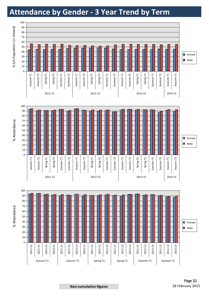### **Attendance by Gender - 3 Year Trend by Term**

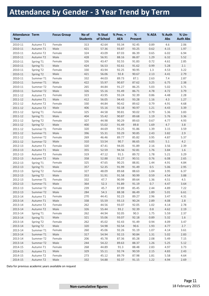### **Attendance by Gender - 3 Year Trend by Term**

| <b>Attendance Term</b><br>Year |           | <b>Focus Group</b> | No of<br><b>Students</b> | % Stud<br>of School | $%$ Pres. $+$<br><b>AEA</b> | %<br>Present | % AEA   | % Auth<br><b>Abs</b> | % Un-<br><b>Auth Abs</b> |
|--------------------------------|-----------|--------------------|--------------------------|---------------------|-----------------------------|--------------|---------|----------------------|--------------------------|
| 2010-11                        | Autumn T1 | Female             | 313                      | 42.64               | 93.34                       | 92.45        | 0.89    | 4.6                  | 2.06                     |
| 2010-11                        | Autumn T1 | Male               | 421                      | 57.36               | 93.87                       | 93.25        | 0.62    | 4.15                 | 1.97                     |
| 2010-11                        | Autumn T2 | Female             | 324                      | 43.09               | 87.03                       | 86.39        | 0.65    | 6.02                 | 6.94                     |
| 2010-11                        | Autumn T2 | Male               | 428                      | 56.91               | 88.16                       | 86.87        | 1.29    | 6.32                 | 5.52                     |
| 2010-11                        | Spring T1 | Female             | 326                      | 43.47               | 92.55                       | 91.83        | 0.72    | 4.61                 | 2.85                     |
| 2010-11                        | Spring T1 | Male               | 424                      | 56.53               | 92.61                       | 91.62        | 0.99    | 5.28                 | 2.1                      |
| 2010-11                        | Spring T2 | Female             | 330                      | 43.94               | 92.25                       | 90.95        | 1.3     | 4.53                 | 3.22                     |
| 2010-11                        | Spring T2 | Male               | 421                      | 56.06               | 92.8                        | 90.67        | 2.13    | 4.41                 | 2.79                     |
| 2010-11                        | Summer T1 | Female             | 332                      | 44.03               | 89.73                       | 87.1         | 2.63    | 7.4                  | 2.87                     |
| 2010-11                        | Summer T1 | Male               | 422                      | 55.97               | 90.87                       | 87.62        | 3.25    | 6.75                 | 2.38                     |
| 2010-11                        | Summer T2 | Female             | 265                      | 44.84               | 91.27                       | 86.25        | 5.03    | 5.02                 | 3.71                     |
| 2010-11                        | Summer T2 | Male               | 326                      | 55.16               | 91.49                       | 86.71        | 4.78    | 4.72                 | 3.79                     |
| 2011-12                        | Autumn T1 | Female             | 323                      | 43.95               | 93.24                       | 92.39        | 0.86    | 4.48                 | 2.28                     |
| 2011-12                        | Autumn T1 | Male               | 412                      | 56.05               | 94.43                       | 93.28        | 1.16    | 4.3                  | 1.27                     |
| 2011-12                        | Autumn T2 | Female             | 330                      | 44.84               | 90.42                       | 89.62        | 0.79    | 4.91                 | 4.68                     |
| 2011-12                        | Autumn T2 | Male               | 406                      | 55.16               | 92.18                       | 90.97        | 1.21    | 4.43                 | 3.39                     |
| 2011-12                        | Spring T1 | Female             | 325                      | 44.58               | 90.81                       | 90.02        | 0.79    | 5.36                 | 3.83                     |
| 2011-12                        | Spring T1 | Male               | 404                      | 55.42               | 90.87                       | 89.68        | 1.19    | 5.76                 | 3.36                     |
| 2011-12                        | Spring T2 | Female             | 327                      | 44.98               | 90.29                       | 89.63        | 0.67    | 4.77                 | 4.93                     |
| 2011-12                        | Spring T2 | Male               | 400                      | 55.02               | 91.49                       | 89.8         | 1.69    | 4.7                  | 3.8                      |
| 2011-12                        | Summer T1 | Female             | 320                      | 44.69               | 93.25                       | 91.86        | 1.39    | 3.15                 | 3.59                     |
| 2011-12                        | Summer T1 | Male               | 396                      | 55.31               | 93.29                       | 90.85        | 2.43    | 3.82                 | 2.9                      |
| 2011-12                        | Summer T2 | Female             | 269                      | 46.46               | 89.77                       | 85.82        | 3.95    | 4.87                 | 5.37                     |
| 2011-12                        | Summer T2 | Male               | 310                      | 53.54               | 90.7                        | 86.65        | 4.05    | 5.1                  | 4.2                      |
| 2012-13                        | Autumn T1 | Female             | 320                      | 47.41               | 94.05                       | 91.89        | 2.16    | 3.56                 | 2.39                     |
| 2012-13                        | Autumn T1 | Male               | 355                      | 52.59               | 94.56                       | 92.81        | 1.76    | 3.84                 | 1.6                      |
| 2012-13                        | Autumn T2 | Female             | 319                      | 47.12               | 91.5                        | 89.72        | 1.78    | 5.21                 | 3.29                     |
| 2012-13                        | Autumn T2 | Male               | 358                      | 52.88               | 91.27                       | 90.51        | 0.76    | 6.08                 | 2.65                     |
| 2012-13                        | Spring T1 | Female             | 325                      | 47.65               | 90.25                       | 88.81        | 1.44    | 4.91                 | 4.84                     |
| 2012-13                        | Spring T1 | Male               | 357                      | 52.35               | 91.99                       | 91.49        | 0.5     | 5.06                 | 2.95                     |
| 2012-13                        | Spring T2 | Female             | 327                      | 48.09               | 89.68                       | 88.63        | 1.04    | 3.95                 | 6.37                     |
| 2012-13                        | Spring T2 | Male               | 353                      | 51.91               | 91.58                       | 90.99        | 0.59    | 4.54                 | 3.88                     |
| 2012-13                        | Summer T1 | Female             | 332                      | 47.7                | 90.99                       | 89.64        | 1.36    | 4.51                 | 4.5                      |
| 2012-13                        | Summer T1 | Male               | 364                      | 52.3                | 91.89                       | 91.19        | 0.7     | 4.47                 | 3.64                     |
| 2012-13                        | Summer T2 | Female             | 239                      | 45.7                | 87.89                       | 85.45        | 2.44    | 4.89                 | 7.22                     |
| 2012-13                        | Summer T2 | Male               | 284                      | 54.3                | 88.38                       | 86.49        | 1.89    | 5.01                 | 6.61                     |
| 2013-14                        | Autumn T1 | Female             | 270                      | 44.41               | 92.23                       | 89.27        | 2.96    | 3.47                 | 4.31                     |
| 2013-14                        | Autumn T1 | Male               | 338                      | 55.59               | 93.13                       | 90.24        | 2.89    | 4.08                 | $2.8\,$                  |
| 2013-14                        | Autumn T2 | Female             | 262                      | 44.56               | 93.07                       | 92.05        | 1.02    | 4.14                 | 2.78                     |
| 2013-14                        | Autumn T2 | Male               | 326                      | 55.44               | 93.2                        | 92.39        | $0.8\,$ | 4.62                 | 2.19                     |
| 2013-14                        | Spring T1 | Female             | 262                      | 44.94               | 92.05                       | 90.3         | 1.75    | 5.59                 | 2.37                     |
| 2013-14                        | Spring T1 | Male               | 321                      | 55.06               | 93.07                       | 92.18        | 0.89    | 5.32                 | $1.6\,$                  |
| 2013-14                        | Spring T2 | Female             | 262                      | 45.02               | 92.43                       | 91.49        | 0.94    | 4.09                 | 3.47                     |
| 2013-14                        | Spring T2 | Male               | 320                      | 54.98               | 92.54                       | 90.6         | 1.93    | 4.77                 | 2.7                      |
| 2013-14                        | Summer T1 | Female             | 260                      | 45.06               | 92.26                       | 91.19        | 1.07    | 4.14                 | 3.61                     |
| 2013-14                        | Summer T1 | Male               | 317                      | 54.94               | 92.15                       | 90.84        | 1.31    | 5.02                 | 2.83                     |
| 2013-14                        | Summer T2 | Female             | 206                      | 45.78               | 87.36                       | 85.28        | 2.08    | 5.49                 | 7.15                     |
| 2013-14                        | Summer T2 | Male               | 244                      | 54.22               | 89.63                       | 88.37        | 1.26    | 5.25                 | 5.12                     |
| 2014-15                        | Autumn T1 | Female             | 268                      | 44.89               | 91.3                        | 88.48        | 2.83    | 4.97                 | 3.73                     |
| 2014-15                        | Autumn T1 | Male               | 329                      | 55.11               | 92.74                       | 90.59        | 2.15    | 4.83                 | 2.43                     |
| 2014-15                        | Autumn T2 | Female             | 273                      | 45.12               | 89.79                       | 87.98        | 1.81    | 5.58                 | 4.64                     |
| 2014-15                        | Autumn T2 | Male               | 332                      | 54.88               | 92.37                       | 91.15        | 1.22    | 4.94                 | 2.69                     |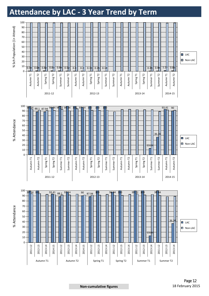### **Attendance by LAC - 3 Year Trend by Term**

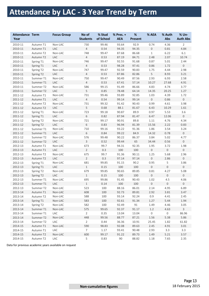### **Attendance by LAC - 3 Year Trend by Term**

| <b>Attendance Term</b><br>Year |           | <b>Focus Group</b> | No of<br><b>Students</b> | % Stud<br>of School | % Pres. +<br><b>AEA</b> | $\%$<br><b>Present</b> | % AEA               | % Auth<br>Abs  | % Un-<br><b>Auth Abs</b> |
|--------------------------------|-----------|--------------------|--------------------------|---------------------|-------------------------|------------------------|---------------------|----------------|--------------------------|
| 2010-11                        | Autumn T1 | Non-LAC            | 730                      | 99.46               | 93.64                   | 92.9                   | 0.74                | 4.36           | $\overline{2}$           |
| 2010-11                        | Autumn T1 | <b>LAC</b>         | $\overline{4}$           | 0.54                | 94.35                   | 94.35                  | $\mathbf 0$         | 0.81           | 4.84                     |
| 2010-11                        | Autumn T2 | Non-LAC            | 748                      | 99.47               | 87.68                   | 86.68                  | $\mathbf{1}$        | 6.22           | 6.1                      |
| 2010-11                        | Autumn T2 | <b>LAC</b>         | $\overline{4}$           | 0.53                | 87.19                   | 84.71                  | 2.48                | 2.07           | 10.74                    |
| 2010-11                        | Spring T1 | Non-LAC            | 746                      | 99.47               | 92.55                   | 91.68                  | 0.87                | 5.01           | 2.44                     |
| 2010-11                        | Spring T1 | <b>LAC</b>         | $\overline{4}$           | 0.53                | 98.28                   | 97.41                  | 0.86                | 1.72           | $\mathsf{O}\xspace$      |
| 2010-11                        | Spring T2 | Non-LAC            | 747                      | 99.47               | 92.59                   | 90.83                  | 1.75                | 4.44           | 2.98                     |
| 2010-11                        | Spring T2 | LAC                | $\overline{4}$           | 0.53                | 87.86                   | 82.86                  | 5                   | 8.93           | 3.21                     |
| 2010-11                        | Summer T1 | Non-LAC            | 750                      | 99.47               | 90.49                   | 87.56                  | 2.93                | 6.93           | 2.58                     |
| 2010-11                        | Summer T1 | <b>LAC</b>         | $\overline{4}$           | 0.53                | 67.41                   | 57.14                  | 10.27               | 27.68          | 4.91                     |
| 2010-11                        | Summer T2 | Non-LAC            | 586                      | 99.15               | 91.49                   | 86.66                  | 4.83                | 4.74           | 3.77                     |
| 2010-11                        | Summer T2 | <b>LAC</b>         | $\mathsf S$              | 0.85                | 78.48                   | 64.14                  | 14.35               | 20.25          | 1.27                     |
| 2011-12                        | Autumn T1 | Non-LAC            | 731                      | 99.46               | 93.89                   | 92.85                  | 1.03                | 4.39           | 1.72                     |
| 2011-12                        | Autumn T1 | <b>LAC</b>         | $\overline{4}$           | 0.54                | 99.14                   | 99.14                  | 0                   | 0.86           | $\mathsf{O}\xspace$      |
| 2011-12                        | Autumn T2 | Non-LAC            | 731                      | 99.32               | 91.42                   | 90.43                  | 0.99                | 4.61           | 3.98                     |
| 2011-12                        | Autumn T2 | <b>LAC</b>         | 5                        | 0.68                | 88.1                    | 81.67                  | 6.43                | 10.29          | 1.61                     |
| 2011-12                        | Spring T1 | Non-LAC            | 723                      | 99.18               | 90.87                   | 89.9                   | 0.97                | 5.53           | 3.6                      |
| 2011-12                        | Spring T1 | LAC                | $\,6\,$                  | 0.82                | 87.94                   | 81.47                  | 6.47                | 12.06          | $\mathsf{O}\xspace$      |
| 2011-12                        | Spring T2 | Non-LAC            | 721                      | 99.17               | 90.91                   | 89.8                   | 1.11                | 4.76           | 4.34                     |
| 2011-12                        | Spring T2 | LAC                | $\,6\,$                  | 0.83                | 96.94                   | 81.39                  | 15.56               | 2.22           | 0.83                     |
| 2011-12                        | Summer T1 | Non-LAC            | 710                      | 99.16               | 93.22                   | 91.36                  | 1.86                | 3.54           | 3.24                     |
| 2011-12                        | Summer T1 | LAC                | 6                        | 0.84                | 99.22                   | 84.9                   | 14.32               | 0.78           | $\mathsf{O}\xspace$      |
| 2011-12                        | Summer T2 | Non-LAC            | 576                      | 99.48               | 90.22                   | 86.37                  | 3.84                | 5.02           | 4.77                     |
| 2011-12                        | Summer T2 | LAC                | $\mathbf{3}$             | 0.52                | 99.44                   | 65                     | 34.44               | 0.56           | $\mathsf{O}\xspace$      |
| 2012-13                        | Autumn T1 | Non-LAC            | 673                      | 99.7                | 94.31                   | 92.35                  | 1.95                | 3.72           | 1.98                     |
| 2012-13                        | Autumn T1 | LAC                | $\overline{2}$           | 0.3                 | 100                     | 100                    | $\overline{0}$      | $\mathbf 0$    | $\mathsf{O}\xspace$      |
| 2012-13                        | Autumn T2 | Non-LAC            | 675                      | 99.7                | 91.36                   | 90.11                  | 1.25                | 5.68           | 2.96                     |
| 2012-13                        | Autumn T2 | LAC                | $\overline{2}$           | 0.3                 | 97.14                   | 97.14                  | $\overline{0}$      | 2.86           | $\mathsf{O}\xspace$      |
| 2012-13                        | Spring T1 | Non-LAC            | 681                      | 99.85               | 91.15                   | 90.2                   | 0.95                | 5              | 3.86                     |
| 2012-13                        | Spring T1 | LAC                | $\mathbf{1}$             | 0.15                | 100                     | 100                    | $\overline{0}$      | $\mathbf{0}$   | $\mathsf{O}\xspace$      |
| 2012-13                        | Spring T2 | Non-LAC            | 679                      | 99.85               | 90.65                   | 89.85                  | 0.81                | 4.27           | 5.08                     |
| 2012-13                        | Spring T2 | LAC                | $\mathbf{1}$             | 0.15                | 100                     | 100                    | $\overline{0}$      | $\mathbf 0$    | $\mathsf{O}\xspace$      |
| 2012-13                        | Summer T1 | Non-LAC            | 695                      | 99.86               | 91.45                   | 90.43                  | 1.02                | 4.5            | 4.06                     |
| 2012-13                        | Summer T1 | LAC                | $\mathbf{1}$             | 0.14                | 100                     | 100                    | $\boldsymbol{0}$    | $\mathbf 0$    | $\mathsf{O}\xspace$      |
| 2012-13                        | Summer T2 | Non-LAC            | 523                      | 100                 | 88.16                   | 86.01                  | 2.14                | 4.95           | 6.89                     |
| 2013-14                        | Autumn T1 | Non-LAC            | 608                      | 100                 | 92.73                   | 89.81                  | 2.92                | 3.81           | 3.47                     |
| 2013-14                        | Autumn T2 | Non-LAC            | 588                      | 100                 | 93.14                   | 92.24                  | 0.9                 | 4.41           | 2.45                     |
| 2013-14                        | Spring T1 | Non-LAC            | 583                      | 100                 | 92.61                   | 91.34                  | 1.27                | 5.44           | 1.94                     |
| 2013-14                        | Spring T2 | Non-LAC            | 582                      | 100                 | 92.49                   | 91                     | 1.49                | 4.46           | 3.05                     |
| 2013-14                        | Summer T1 | Non-LAC            | 575                      | 99.65               | 92.37                   | 91.17                  | 1.2                 | 4.63           | $\mathbf{3}$             |
| 2013-14                        | Summer T1 | LAC                | $\overline{2}$           | 0.35                | 13.04                   | 13.04                  | $\mathsf{O}\xspace$ | $\overline{0}$ | 86.96                    |
| 2013-14                        | Summer T2 | Non-LAC            | 448                      | 99.56               | 88.77                   | 87.21                  | 1.56                | 5.38           | 5.86                     |
| 2013-14                        | Summer T2 | LAC                | $\overline{2}$           | 0.44                | 36.36                   | 10.91                  | 25.45               | 1.82           | 61.82                    |
| 2014-15                        | Autumn T1 | Non-LAC            | 590                      | 98.83               | 92.08                   | 89.63                  | 2.45                | 4.91           | 3.01                     |
| 2014-15                        | Autumn T1 | LAC                | $7\overline{ }$          | 1.17                | 93.41                   | 90.48                  | 2.93                | 3.3            | 3.3                      |
| 2014-15                        | Autumn T2 | Non-LAC            | 600                      | 99.17               | 91.22                   | 89.73                  | 1.49                | 5.21           | 3.57                     |
| 2014-15                        | Autumn T2 | LAC                | 5                        | 0.83                | 90                      | 88.82                  | 1.18                | 7.65           | 2.35                     |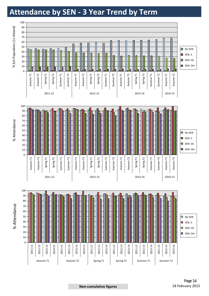### **Attendance by SEN - 3 Year Trend by Term**

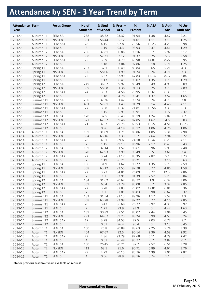# **Attendance by SEN - 3 Year Trend by Term**

| <b>Attendance Term</b><br>Year |                       | <b>Focus Group</b> | No of<br><b>Students</b> | % Stud<br>of School | $%$ Pres. $+$<br><b>AEA</b> | $\%$<br><b>Present</b> | % AEA            | % Auth<br>Abs | % Un-<br><b>Auth Abs</b> |
|--------------------------------|-----------------------|--------------------|--------------------------|---------------------|-----------------------------|------------------------|------------------|---------------|--------------------------|
| 2012-13                        | Autumn T1             | SEN: SA            | 258                      | 38.22               | 93.32                       | 91.94                  | 1.38             | 4.47          | 2.21                     |
| 2012-13                        | Autumn T1             | No SEN             | 381                      | 56.44               | 95.12                       | 94.01                  | 1.11             | 3.13          | 1.75                     |
| 2012-13                        | Autumn T1             | SEN: SA+           | 28                       | 4.15                | 92.8                        | 73.56                  | 19.23            | 4.23          | 2.98                     |
| 2012-13                        | Autumn T1             | SEN: S             | $\,8\,$                  | 1.19                | 94.3                        | 93.93                  | 0.37             | 4.41          | 1.29                     |
| 2012-13                        | Autumn T2             | SEN: SA            | 256                      | 37.81               | 90.86                       | 90.16                  | 0.7              | 5.97          | 3.17                     |
| 2012-13                        | Autumn T2             | No SEN             | 388                      | 57.31               | 92.12                       | 91.37                  | 0.75             | 5.3           | 2.58                     |
| 2012-13                        | Autumn T2             | SEN: SA+           | 25                       | 3.69                | 84.79                       | 69.98                  | 14.81            | 8.27          | 6.95                     |
| 2012-13                        | Autumn T2             | SEN: S             | $\,8\,$                  | 1.18                | 93.04                       | 92.86                  | 0.18             | 5.71          | 1.25                     |
| 2012-13                        | Spring T1             | SEN: SA            | 253                      | 37.1                | 90.49                       | 89.84                  | 0.65             | 5.21          | 4.3                      |
| 2012-13                        | Spring T1             | No SEN             | 396                      | 58.06               | 91.99                       | 91.74                  | 0.24             | 4.71          | 3.3                      |
| 2012-13                        | Spring T1             | SEN: SA+           | 25                       | 3.67                | 82.99                       | 67.83                  | 15.16            | 8.17          | 8.84                     |
| 2012-13                        | Spring T1             | SEN: S             | $\,8\,$                  | 1.17                | 96.41                       | 95.07                  | 1.35             | 1.79          | 1.79                     |
| 2012-13                        | Spring T <sub>2</sub> | SEN: SA            | 249                      | 36.62               | 89.97                       | 89.49                  | 0.49             | 4.93          | 5.09                     |
| 2012-13                        | Spring T <sub>2</sub> | No SEN             | 399                      | 58.68               | 91.38                       | 91.13                  | 0.25             | 3.73          | 4.89                     |
| 2012-13                        | Spring T <sub>2</sub> | SEN: SA+           | 24                       | 3.53                | 84.56                       | 70.95                  | 13.61            | 6.33          | 9.11                     |
| 2012-13                        | Spring T2             | SEN: S             | $\,8\,$                  | 1.18                | 94.78                       | 93.41                  | 1.37             | 3.57          | 1.65                     |
| 2012-13                        | Summer T1             | SEN: SA            | 260                      | 37.36               | 91.47                       | 90.74                  | 0.74             | 4.73          | 3.8                      |
| 2012-13                        | Summer T1             | No SEN             | 401                      | 57.61               | 91.43                       | 91.29                  | 0.14             | 4.46          | 4.11                     |
| 2012-13                        | Summer T1             | SEN: SA+           | 27                       | 3.88                | 90.37                       | 71.81                  | 18.56            | 3.33          | 6.3                      |
| 2012-13                        | Summer T1             | SEN: S             | 8                        | 1.15                | 95.91                       | 95.91                  | $\boldsymbol{0}$ | 1.72          | 2.37                     |
| 2012-13                        | Summer T2             | SEN: SA            | 170                      | 32.5                | 86.43                       | 85.19                  | 1.24             | 5.87          | 7.7                      |
| 2012-13                        | Summer T2             | No SEN             | 327                      | 62.52               | 89.46                       | 87.85                  | 1.62             | 4.5           | 6.03                     |
| 2012-13                        | Summer T2             | SEN: SA+           | 21                       | 4.02                | 79.75                       | 60.53                  | 19.22            | 4.51          | 15.73                    |
| 2012-13                        | Summer T2             | SEN: S             | 5                        | 0.96                | 94.18                       | 93.12                  | 1.06             | 4.76          | 1.06                     |
| 2013-14                        | Autumn T1             | SEN: SA            | 189                      | 31.09               | 91.71                       | 89.86                  | 1.85             | 5.31          | 2.98                     |
| 2013-14                        | Autumn T1             | No SEN             | 384                      | 63.16               | 93.33                       | 90.7                   | 2.64             | 2.94          | 3.72                     |
| 2013-14                        | Autumn T1             | SEN: SA+           | 28                       | 4.61                | 89.6                        | 74.18                  | 15.42            | 6.29          | 4.11                     |
| 2013-14                        | Autumn T1             | SEN: S             | $\overline{7}$           | 1.15                | 99.13                       | 96.96                  | 2.17             | 0.43          | 0.43                     |
|                                |                       |                    | 189                      |                     |                             |                        |                  |               | 2.48                     |
| 2013-14                        | Autumn T2             | SEN: SA            | 370                      | 32.14               | 91.57                       | 90.61                  | 0.96<br>0.5      | 5.95<br>3.61  | 2.4                      |
| 2013-14                        | Autumn T2             | No SEN             | 22                       | 62.93               | 93.99                       | 93.49                  |                  |               |                          |
| 2013-14                        | Autumn T2             | SEN: SA+           | $\overline{7}$           | 3.74                | 91.17                       | 83.35                  | 7.82             | 5.1           | 3.73                     |
| 2013-14                        | Autumn T2             | SEN: S             |                          | 1.19                | 96.21                       | 96.21                  | $\boldsymbol{0}$ | 3.16          | 0.63                     |
| 2013-14                        | Spring T1             | SEN: SA            | 186                      | 31.9                | 91.62                       | 90.27                  | 1.35             | 5.79          | 2.59                     |
| 2013-14                        | Spring T1             | No SEN             | 368                      | 63.12               | 93.55                       | 92.78                  | 0.77             | 4.86          | 1.59                     |
| 2013-14                        | Spring T1             | SEN: SA+           | 22                       | 3.77                | 84.81                       | 76.09                  | 8.72             | 12.33         | 2.86                     |
| 2013-14                        | Spring T1             | SEN: S             | $\overline{7}$           | 1.2                 | 93.91                       | 91.39                  | 2.52             | 5.25          | 0.84                     |
| 2013-14                        | Spring T <sub>2</sub> | SEN: SA            | 184                      | 31.62               | 90.62                       | 88.72                  | 1.9              | 6.32          | 3.06                     |
| 2013-14                        | Spring T2             | No SEN             | 369                      | 63.4                | 93.78                       | 93.08                  | 0.7              | 3.37          | 2.85                     |
| 2013-14                        | Spring T2             | SEN: SA+           | 22                       | 3.78                | 87.83                       | 75.02                  | 12.81            | 6.81          | 5.36                     |
| 2013-14                        | Spring T2             | SEN: S             | $\overline{7}$           | 1.2                 | 87.01                       | 86.03                  | 0.98             | 6.62          | 6.37                     |
| 2013-14                        | Summer T1             | SEN: SA            | 182                      | 31.54               | 91.13                       | 89.96                  | 1.17             | 5.57          | 3.3                      |
| 2013-14                        | Summer T1             | No SEN             | 368                      | 63.78               | 92.99                       | 92.22                  | 0.77             | 4.16          | 2.85                     |
| 2013-14                        | Summer T1             | SEN: SA+           | 20                       | 3.47                | 86.68                       | 76.77                  | 9.92             | 4.35          | 8.97                     |
| 2013-14                        | Summer T1             | SEN: S             | $\overline{7}$           | 1.21                | 93.9                        | 93.9                   | $\mathbf 0$      | 4.47          | 1.63                     |
| 2013-14                        | Summer T2             | SEN: SA            | 139                      | 30.89               | 87.51                       | 85.07                  | 2.44             | 7.04          | 5.45                     |
| 2013-14                        | Summer T2             | No SEN             | 291                      | 64.67               | 89.23                       | 88.24                  | 0.99             | 4.53          | 6.24                     |
| 2013-14                        | Summer T2             | SEN: SA+           | 17                       | 3.78                | 84.53                       | 77.5                   | 7.03             | 6.77          | 8.7                      |
| 2013-14                        | Summer T2             | SEN: S             | $\overline{3}$           | 0.67                | 96.4                        | 96.4                   | $\overline{0}$   | 3.15          | 0.45                     |
| 2014-15                        | Autumn T1             | SEN: SA            | 160                      | 26.8                | 90.88                       | 88.63                  | 2.25             | 5.74          | 3.39                     |
| 2014-15                        | Autumn T1             | No SEN             | 404                      | 67.67               | 92.5                        | 90.14                  | 2.36             | 4.58          | 2.92                     |
| 2014-15                        | Autumn T1             | SEN: SA+           | 29                       | 4.86                | 92.79                       | 87.68                  | 5.11             | 4.79          | 2.42                     |
| 2014-15                        | Autumn T1             | SEN: S             | $\overline{4}$           | 0.67                | 96.48                       | 95.77                  | 0.7              | 2.82          | 0.7                      |
| 2014-15                        | Autumn T2             | SEN: SA            | 160                      | 26.45               | 90.21                       | 87.7                   | 2.52             | 6.51          | 3.28                     |
| 2014-15                        | Autumn T2             | No SEN             | 412                      | 68.1                | 91.6                        | 90.71                  | 0.89             | 4.64          | 3.76                     |
| 2014-15                        | Autumn T2             | SEN: SA+           | 29                       | 4.79                | 90.15                       | 85.76                  | 4.39             | 7.04          | 2.82                     |
| 2014-15                        | Autumn T2             | SEN: S             | $\overline{4}$           | 0.66                | 98.9                        | 98.16                  | 0.74             | 1.1           | $\boldsymbol{0}$         |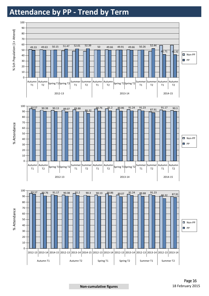### **Attendance by PP - Trend by Term**

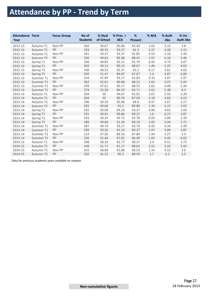# **Attendance by PP - Trend by Term**

| <b>Attendance Term</b><br>Year |                       | <b>Focus Group</b> | No of<br><b>Students</b> | % Stud<br>of School | $%$ Pres. $+$<br><b>AEA</b> | %<br><b>Present</b> | % AEA | % Auth<br>Abs | % Un-<br><b>Auth Abs</b> |
|--------------------------------|-----------------------|--------------------|--------------------------|---------------------|-----------------------------|---------------------|-------|---------------|--------------------------|
| 2012-13                        | Autumn T1             | Non-PP             | 342                      | 50.67               | 95.06                       | 93.43               | 1.63  | 3.15          | 1.8                      |
| 2012-13                        | Autumn T1             | PP                 | 333                      | 49.33               | 93.57                       | 91.3                | 2.27  | 4.28          | 2.15                     |
| 2012-13                        | Autumn T <sub>2</sub> | Non-PP             | 341                      | 50.37               | 92.37                       | 91.85               | 0.53  | 5.18          | 2.44                     |
| 2012-13                        | Autumn T2             | PP                 | 336                      | 49.63               | 90.38                       | 88.41               | 1.97  | 6.16          | 3.46                     |
| 2012-13                        | Spring T1             | Non-PP             | 340                      | 49.85               | 92.21                       | 91.79               | 0.42  | 4.73          | 3.07                     |
| 2012-13                        | Spring T1             | PP                 | 342                      | 50.15               | 90.13                       | 88.67               | 1.46  | 5.25          | 4.62                     |
| 2012-13                        | Spring T <sub>2</sub> | Non-PP             | 330                      | 48.53               | 92.37                       | 92.2                | 0.17  | 3.61          | 4.02                     |
| 2012-13                        | Spring T2             | PP                 | 350                      | 51.47               | 89.07                       | 87.67               | 1.4   | 4.87          | 6.06                     |
| 2012-13                        | Summer T1             | Non-PP             | 334                      | 47.99               | 93.17                       | 92.83               | 0.33  | 3.87          | 2.97                     |
| 2012-13                        | Summer T1             | PP                 | 362                      | 52.01               | 89.88                       | 88.23               | 1.65  | 5.07          | 5.05                     |
| 2012-13                        | Summer T <sub>2</sub> | Non-PP             | 249                      | 47.61               | 90.17                       | 88.55               | 1.62  | 4.48          | 5.34                     |
| 2012-13                        | Summer T <sub>2</sub> | PP                 | 274                      | 52.39               | 86.32                       | 83.71               | 2.62  | 5.38          | 8.3                      |
| 2013-14                        | Autumn T1             | Non-PP             | 304                      | 50                  | 94.67                       | 92.01               | 2.67  | 2.93          | 2.39                     |
| 2013-14                        | Autumn T1             | PP                 | 304                      | 50                  | 90.76                       | 87.59               | 3.18  | 4.69          | 4.55                     |
| 2013-14                        | Autumn T <sub>2</sub> | Non-PP             | 296                      | 50.34               | 95.06                       | 94.6                | 0.47  | 3.67          | 1.27                     |
| 2013-14                        | Autumn T <sub>2</sub> | PP                 | 292                      | 49.66               | 91.2                        | 89.86               | 1.34  | 5.15          | 3.65                     |
| 2013-14                        | Spring T1             | Non-PP             | 292                      | 50.09               | 94.33                       | 93.37               | 0.96  | 4.63          | 1.04                     |
| 2013-14                        | Spring T1             | PP                 | 291                      | 49.91               | 90.86                       | 89.27               | 1.6   | 6.27          | 2.87                     |
| 2013-14                        | Spring T <sub>2</sub> | Non-PP             | 293                      | 50.34               | 93.72                       | 92.78               | 0.93  | 3.89          | 2.39                     |
| 2013-14                        | Spring T2             | PP                 | 289                      | 49.66               | 91.24                       | 89.19               | 2.05  | 5.04          | 3.71                     |
| 2013-14                        | Summer T1             | Non-PP             | 287                      | 49.74               | 93.17                       | 92.74               | 0.43  | 4.34          | 2.49                     |
| 2013-14                        | Summer T1             | PP                 | 290                      | 50.26               | 91.23                       | 89.27               | 1.97  | 4.89          | 3.87                     |
| 2013-14                        | Summer T2             | Non-PP             | 214                      | 47.56               | 89.33                       | 87.89               | 1.44  | 5.27          | 5.4                      |
| 2013-14                        | Summer T <sub>2</sub> | PP                 | 236                      | 52.44               | 87.91                       | 86.09               | 1.82  | 5.45          | 6.65                     |
| 2014-15                        | Autumn T1             | Non-PP             | 348                      | 58.29               | 92.77                       | 90.37               | 2.4   | 4.51          | 2.72                     |
| 2014-15                        | Autumn T1             | PP                 | 249                      | 41.71               | 91.17                       | 88.65               | 2.52  | 5.42          | 3.42                     |
| 2014-15                        | Autumn T <sub>2</sub> | Non-PP             | 355                      | 58.68               | 91.86                       | 90.53               | 1.33  | 4.53          | 3.6                      |
| 2014-15                        | Autumn T <sub>2</sub> | PP                 | 250                      | 41.32               | 90.3                        | 88.59               | 1.7   | 6.2           | 3.5                      |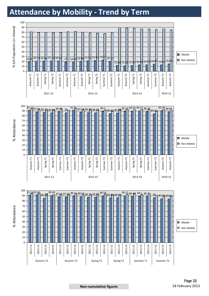### **Attendance by Mobility - Trend by Term**

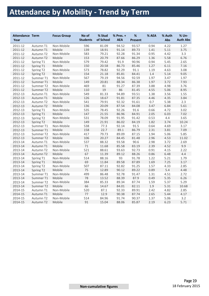# **Attendance by Mobility - Trend by Term**

| <b>Attendance Term</b><br>Year |                       | <b>Focus Group</b> | No of<br><b>Students</b> | % Stud<br>of School | % Pres. +<br><b>AEA</b> | %<br><b>Present</b> | % AEA | % Auth<br>Abs | % Un-<br><b>Auth Abs</b> |
|--------------------------------|-----------------------|--------------------|--------------------------|---------------------|-------------------------|---------------------|-------|---------------|--------------------------|
| 2011-12                        | Autumn T1             | Non-Mobile         | 596                      | 81.09               | 94.52                   | 93.57               | 0.94  | 4.22          | 1.27                     |
| 2011-12                        | Autumn T1             | Mobile             | 139                      | 18.91               | 91.14                   | 89.73               | 1.41  | 5.11          | 3.75                     |
| 2011-12                        | Autumn T2             | Non-Mobile         | 583                      | 79.21               | 92.28                   | 91.34               | 0.95  | 4.42          | 3.3                      |
| 2011-12                        | Autumn T <sub>2</sub> | Mobile             | 153                      | 20.79               | 87.66                   | 86.29               | 1.36  | 5.58          | 6.76                     |
| 2011-12                        | Spring T1             | Non-Mobile         | 579                      | 79.42               | 91.9                    | 90.96               | 0.94  | 5.45          | 2.65                     |
| 2011-12                        | Spring T1             | Mobile             | 150                      | 20.58               | 86.73                   | 85.46               | 1.27  | 6.11          | 7.16                     |
| 2011-12                        | Spring T2             | Non-Mobile         | 573                      | 78.82               | 92.29                   | 91.1                | 1.19  | 4.63          | 3.08                     |
| 2011-12                        | Spring T2             | Mobile             | 154                      | 21.18               | 85.81                   | 84.41               | 1.4   | 5.14          | 9.05                     |
| 2011-12                        | Summer T1             | Non-Mobile         | 567                      | 79.19               | 94.56                   | 92.59               | 1.97  | 3.47          | 1.97                     |
| 2011-12                        | Summer T1             | Mobile             | 149                      | 20.81               | 88.34                   | 86.38               | 1.97  | 3.72          | 7.93                     |
| 2011-12                        | Summer T2             | Non-Mobile         | 469                      | 81                  | 91.27                   | 87.39               | 3.88  | 4.98          | 3.76                     |
| 2011-12                        | Summer T <sub>2</sub> | Mobile             | 110                      | 19                  | 86                      | 81.45               | 4.55  | 5.06          | 8.95                     |
| 2012-13                        | Autumn T1             | Non-Mobile         | 549                      | 81.33               | 94.89                   | 93.51               | 1.38  | 3.56          | 1.55                     |
| 2012-13                        | Autumn T1             | Mobile             | 126                      | 18.67               | 91.81                   | 87.35               | 4.46  | 4.35          | 3.84                     |
| 2012-13                        | Autumn T2             | Non-Mobile         | 541                      | 79.91               | 92.32                   | 91.61               | 0.7   | 5.38          | 2.3                      |
| 2012-13                        | Autumn T2             | Mobile             | 136                      | 20.09               | 87.54                   | 84.08               | 3.47  | 6.84          | 5.61                     |
| 2012-13                        | Spring T1             | Non-Mobile         | 535                      | 78.45               | 92.26                   | 91.6                | 0.66  | 4.72          | 3.02                     |
| 2012-13                        | Spring T1             | Mobile             | 147                      | 21.55               | 86.96                   | 84.91               | 2.05  | 6.03          | 7.02                     |
| 2012-13                        | Spring T <sub>2</sub> | Non-Mobile         | 531                      | 78.09               | 91.95                   | 91.42               | 0.53  | 4.4           | 3.65                     |
| 2012-13                        | Spring T2             | Mobile             | 149                      | 21.91               | 86.02                   | 84.19               | 1.82  | 3.74          | 10.24                    |
| 2012-13                        | Summer T1             | Non-Mobile         | 538                      | 77.3                | 92.14                   | 91.5                | 0.64  | 4.69          | 3.17                     |
| 2012-13                        | Summer T1             | Mobile             | 158                      | 22.7                | 89.1                    | 86.79               | 2.31  | 3.81          | 7.09                     |
| 2012-13                        | Summer T <sub>2</sub> | Non-Mobile         | 417                      | 79.73               | 89.09                   | 87.15               | 1.94  | 5.06          | 5.85                     |
| 2012-13                        | Summer T2             | Mobile             | 106                      | 20.27               | 84.45                   | 81.48               | 2.96  | 4.53          | 11.02                    |
| 2013-14                        | Autumn T1             | Non-Mobile         | 537                      | 88.32               | 93.58                   | 90.6                | 2.98  | 3.72          | 2.69                     |
| 2013-14                        | Autumn T1             | Mobile             | 71                       | 11.68               | 85.58                   | 83.19               | 2.39  | 4.52          | 9.9                      |
| 2013-14                        | Autumn T <sub>2</sub> | Non-Mobile         | 521                      | 88.61               | 93.63                   | 92.73               | 0.91  | 4.15          | 2.22                     |
| 2013-14                        | Autumn T2             | Mobile             | 67                       | 11.39               | 89.12                   | 88.26               | 0.86  | 6.48          | 4.4                      |
| 2013-14                        | Spring T1             | Non-Mobile         | 514                      | 88.16               | 93                      | 91.78               | 1.22  | 5.21          | 1.79                     |
| 2013-14                        | Spring T1             | Mobile             | 69                       | 11.84               | 89.58                   | 87.89               | 1.69  | 7.25          | 3.17                     |
| 2013-14                        | Spring T2             | Non-Mobile         | 507                      | 87.11               | 92.82                   | 91.25               | 1.57  | 4.33          | 2.85                     |
| 2013-14                        | Spring T <sub>2</sub> | Mobile             | 75                       | 12.89               | 90.12                   | 89.22               | 0.89  | 5.4           | 4.48                     |
| 2013-14                        | Summer T1             | Non-Mobile         | 499                      | 86.48               | 92.78                   | 91.47               | 1.31  | 4.51          | 2.72                     |
| 2013-14                        | Summer T1             | Mobile             | 78                       | 13.52               | 88.39                   | 87.9                | 0.49  | 5.35          | 6.26                     |
| 2013-14                        | Summer T2             | Non-Mobile         | 384                      | 85.33               | 89.34                   | 87.74               | 1.59  | 5.37          | 5.29                     |
| 2013-14                        | Summer T2             | Mobile             | 66                       | 14.67               | 84.01                   | 82.11               | 1.9   | 5.31          | 10.68                    |
| 2014-15                        | Autumn T1             | Non-Mobile         | 520                      | 87.1                | 92.33                   | 89.91               | 2.42  | 4.82          | 2.85                     |
| 2014-15                        | Autumn T1             | Mobile             | 77                       | 12.9                | 90.38                   | 87.74               | 2.65  | 5.44          | 4.17                     |
| 2014-15                        | Autumn T2             | Non-Mobile         | 514                      | 84.96               | 91.74                   | 90.37               | 1.37  | 5.06          | 3.2                      |
| 2014-15                        | Autumn T <sub>2</sub> | Mobile             | 91                       | 15.04               | 88.06                   | 85.87               | 2.19  | 6.23          | 5.71                     |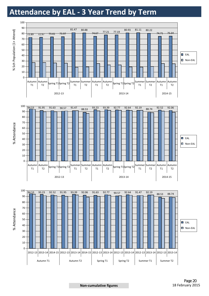### **Attendance by EAL - 3 Year Trend by Term**

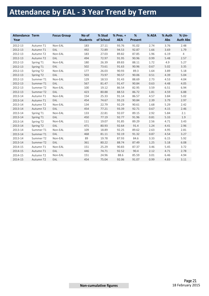# **Attendance by EAL - 3 Year Trend by Term**

| <b>Attendance Term</b><br>Year |                       | <b>Focus Group</b> | No of<br><b>Students</b> | % Stud<br>of School | $%$ Pres. $+$<br><b>AEA</b> | %<br>Present | % AEA | % Auth<br>Abs | % Un-<br><b>Auth Abs</b> |
|--------------------------------|-----------------------|--------------------|--------------------------|---------------------|-----------------------------|--------------|-------|---------------|--------------------------|
| 2012-13                        | Autumn T1             | Non-EAL            | 183                      | 27.11               | 93.76                       | 91.02        | 2.74  | 3.76          | 2.48                     |
| 2012-13                        | Autumn T1             | EAL                | 492                      | 72.89               | 94.53                       | 92.87        | 1.66  | 3.69          | 1.79                     |
| 2012-13                        | Autumn T2             | Non-EAL            | 183                      | 27.03               | 89.82                       | 87.85        | 1.96  | 6.19          | $\overline{4}$           |
| 2012-13                        | Autumn T2             | EAL                | 494                      | 72.97               | 91.95                       | 90.96        | 0.99  | 5.48          | 2.57                     |
| 2012-13                        | Spring T1             | Non-EAL            | 180                      | 26.39               | 89.83                       | 88.11        | 1.72  | 4.9           | 5.27                     |
| 2012-13                        | Spring T1             | EAL                | 502                      | 73.61               | 91.63                       | 90.96        | 0.67  | 5.02          | 3.35                     |
| 2012-13                        | Spring T2             | Non-EAL            | 177                      | 26.03               | 90.93                       | 89.3         | 1.64  | 3.89          | 5.18                     |
| 2012-13                        | Spring T <sub>2</sub> | EAL                | 503                      | 73.97               | 90.57                       | 90.06        | 0.51  | 4.39          | 5.04                     |
| 2012-13                        | Summer T1             | Non-EAL            | 129                      | 18.53               | 91.43                       | 88.69        | 2.73  | 4.53          | 4.04                     |
| 2012-13                        | Summer T1             | EAL                | 567                      | 81.47               | 91.47                       | 90.84        | 0.63  | 4.48          | 4.05                     |
| 2012-13                        | Summer T2             | Non-EAL            | 100                      | 19.12               | 86.54                       | 82.95        | 3.59  | 6.51          | 6.94                     |
| 2012-13                        | Summer T2             | EAL                | 423                      | 80.88               | 88.53                       | 86.72        | 1.81  | 4.59          | 6.88                     |
| 2013-14                        | Autumn T1             | Non-EAL            | 154                      | 25.33               | 91.14                       | 86.57        | 4.57  | 3.84          | 5.02                     |
| 2013-14                        | Autumn T1             | EAL                | 454                      | 74.67               | 93.23                       | 90.84        | 2.39  | 3.79          | 2.97                     |
| 2013-14                        | Autumn T <sub>2</sub> | Non-EAL            | 134                      | 22.79               | 92.29                       | 90.61        | 1.68  | 5.29          | 2.42                     |
| 2013-14                        | Autumn T2             | EAL                | 454                      | 77.21               | 93.39                       | 92.71        | 0.67  | 4.15          | 2.46                     |
| 2013-14                        | Spring T1             | Non-EAL            | 133                      | 22.81               | 92.07                       | 89.15        | 2.92  | 5.84          | 2.1                      |
| 2013-14                        | Spring T1             | EAL                | 450                      | 77.19               | 92.77                       | 91.96        | 0.81  | 5.33          | 1.9                      |
| 2013-14                        | Spring T2             | Non-EAL            | 111                      | 19.07               | 91.85                       | 89.29        | 2.56  | 4.71          | 3.43                     |
| 2013-14                        | Spring T2             | EAL                | 471                      | 80.93               | 92.64                       | 91.4         | 1.24  | 4.41          | 2.96                     |
| 2013-14                        | Summer T1             | Non-EAL            | 109                      | 18.89               | 92.25                       | 89.62        | 2.63  | 4.95          | 2.81                     |
| 2013-14                        | Summer T1             | EAL                | 468                      | 81.11               | 92.19                       | 91.32        | 0.87  | 4.54          | 3.27                     |
| 2013-14                        | Summer T2             | Non-EAL            | 89                       | 19.78               | 87.93                       | 84.6         | 3.33  | 6.15          | 5.92                     |
| 2013-14                        | Summer T2             | EAL                | 361                      | 80.22               | 88.74                       | 87.49        | 1.25  | 5.18          | 6.08                     |
| 2014-15                        | Autumn T1             | Non-EAL            | 151                      | 25.29               | 90.83                       | 87.37        | 3.46  | 5.45          | 3.72                     |
| 2014-15                        | Autumn T1             | EAL                | 446                      | 74.71               | 92.52                       | 90.4         | 2.12  | 4.71          | 2.78                     |
| 2014-15                        | Autumn T2             | Non-EAL            | 151                      | 24.96               | 88.6                        | 85.59        | 3.01  | 6.46          | 4.94                     |
| 2014-15                        | Autumn T <sub>2</sub> | EAL                | 454                      | 75.04               | 92.06                       | 91.07        | 0.99  | 4.83          | 3.11                     |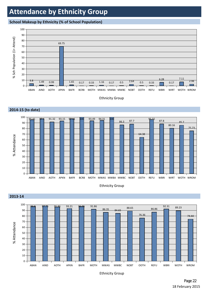### **Attendance by Ethnicity Group**

#### **School Makeup by Ethnicity (% of School Population)**

 **2013-14**



Ethnicity Group







Ethnicity Group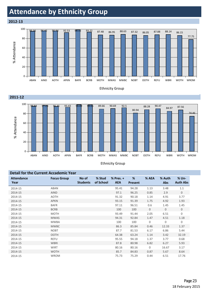### **Attendance by Ethnicity Group**

 **2012-13**







Ethnicity Group

| <b>Detail for the Current Accademic Year</b> |                    |                          |                     |                         |                     |              |                      |                          |  |
|----------------------------------------------|--------------------|--------------------------|---------------------|-------------------------|---------------------|--------------|----------------------|--------------------------|--|
| <b>Attendance</b><br>Year                    | <b>Focus Group</b> | No of<br><b>Students</b> | % Stud<br>of School | % Pres. +<br><b>AEA</b> | %<br><b>Present</b> | % AEA        | % Auth<br><b>Abs</b> | % Un-<br><b>Auth Abs</b> |  |
| 2014-15                                      | ABAN               |                          |                     | 95.41                   | 94.28               | 1.13         | 3.48                 | 1.1                      |  |
| 2014-15                                      | <b>AIND</b>        |                          |                     | 97.1                    | 96.25               | 0.85         | 2.9                  | $\mathbf 0$              |  |
| 2014-15                                      | <b>AOTH</b>        |                          |                     | 91.32                   | 90.18               | 1.14         | 4.91                 | 3.77                     |  |
| 2014-15                                      | <b>APKN</b>        |                          |                     | 93.15                   | 91.39               | 1.75         | 4.92                 | 1.93                     |  |
| 2014-15                                      | <b>BAFR</b>        |                          |                     | 97.11                   | 96.51               | 0.6          | 1.45                 | 1.45                     |  |
| 2014-15                                      | <b>BCRB</b>        |                          |                     | 100                     | 100                 | $\mathbf{0}$ | $\mathbf{0}$         | $\mathbf 0$              |  |
| 2014-15                                      | <b>MOTH</b>        |                          |                     | 93.49                   | 91.44               | 2.05         | 6.51                 | 0                        |  |
| 2014-15                                      | <b>MWAS</b>        |                          |                     | 94.31                   | 92.84               | 1.47         | 4.51                 | 1.18                     |  |
| 2014-15                                      | <b>MWBA</b>        |                          |                     | 100                     | 100                 | 0            | 0                    | $\mathbf 0$              |  |
| 2014-15                                      | <b>MWBC</b>        |                          |                     | 86.3                    | 85.84               | 0.46         | 12.33                | 1.37                     |  |
| 2014-15                                      | <b>NOBT</b>        |                          |                     | 87.7                    | 81.53               | 6.17         | 6.86                 | 5.44                     |  |
| 2014-15                                      | <b>OOTH</b>        |                          |                     | 64.38                   | 63.24               | 1.14         | 3.42                 | 32.19                    |  |
| 2014-15                                      | <b>REFU</b>        |                          |                     | 95.55                   | 94.18               | 1.37         | 3.77                 | 0.68                     |  |
| 2014-15                                      | <b>WBRI</b>        |                          |                     | 87.8                    | 80.98               | 6.82         | 6.27                 | 5.93                     |  |
| 2014-15                                      | <b>WIRT</b>        |                          |                     | 80.16                   | 80.16               | $\mathbf 0$  | 16.67                | 3.17                     |  |
| 2014-15                                      | <b>WOTH</b>        |                          |                     | 85.7                    | 84.83               | 0.87         | 5.67                 | 8.64                     |  |
| 2014-15                                      | <b>WROM</b>        |                          |                     | 75.73                   | 75.29               | 0.44         | 6.51                 | 17.76                    |  |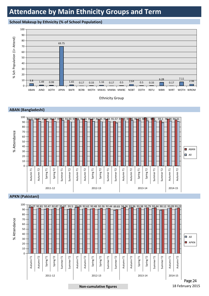### **Attendance by Main Ethnicity Groups and Term**

#### **School Makeup by Ethnicity (% of School Population)**



Ethnicity Group





#### **APKN (Pakistani)**



**Non-cumulative figures** 18 February 2015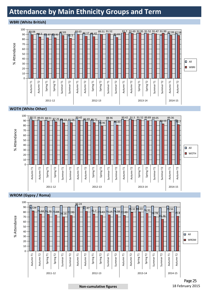### **Attendance by Main Ethnicity Groups and Term**

#### **WBRI (White British)**



#### **WOTH (White Other)**





Page 25

#### **Non-cumulative figures** 18 February 2015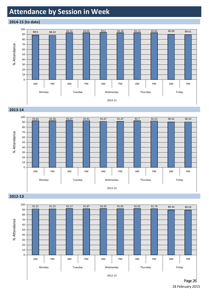### **Attendance by Session in Week**

#### **2014-15 (to date)**



#### **2013-14**



#### **2012-13**



18 February 2015 Page 26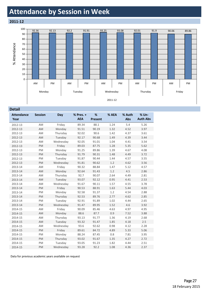### **Attendance by Session in Week**



| Detail                    |                |           |                             |                     |       |                      |                          |
|---------------------------|----------------|-----------|-----------------------------|---------------------|-------|----------------------|--------------------------|
| <b>Attendance</b><br>Year | <b>Session</b> | Day       | $%$ Pres. $+$<br><b>AEA</b> | %<br><b>Present</b> | % AEA | % Auth<br><b>Abs</b> | % Un-<br><b>Auth Abs</b> |
| 2012-13                   | AM             | Friday    | 89.34                       | 88.1                | 1.24  | 5.4                  | 5.26                     |
| 2012-13                   | AM             | Monday    | 91.51                       | 90.19               | 1.32  | 4.52                 | 3.97                     |
| 2012-13                   | AM             | Thursday  | 92.02                       | 90.6                | 1.42  | 4.37                 | 3.61                     |
| 2012-13                   | AM             | Tuesday   | 92.17                       | 90.68               | 1.49  | 4.39                 | 3.44                     |
| 2012-13                   | AM             | Wednesday | 92.05                       | 91.01               | 1.04  | 4.41                 | 3.54                     |
| 2012-13                   | <b>PM</b>      | Friday    | 89.03                       | 87.75               | 1.28  | 5.35                 | 5.62                     |
| 2012-13                   | PM             | Monday    | 91.25                       | 89.86               | 1.39  | 4.67                 | 4.08                     |
| 2012-13                   | <b>PM</b>      | Thursday  | 91.79                       | 90.31               | 1.48  | 4.49                 | 3.72                     |
| 2012-13                   | PM             | Tuesday   | 91.87                       | 90.44               | 1.44  | 4.57                 | 3.55                     |
| 2012-13                   | PM             | Wednesday | 91.81                       | 90.62               | 1.2   | 4.62                 | 3.56                     |
| 2013-14                   | AM             | Friday    | 90.32                       | 88.84               | 1.47  | 5.12                 | 4.57                     |
| 2013-14                   | AM             | Monday    | 92.64                       | 91.43               | 1.2   | 4.5                  | 2.86                     |
| 2013-14                   | AM             | Thursday  | 92.7                        | 90.07               | 2.64  | 4.49                 | 2.81                     |
| 2013-14                   | AM             | Tuesday   | 93.07                       | 92.12               | 0.95  | 4.41                 | 2.53                     |
| 2013-14                   | AM             | Wednesday | 91.67                       | 90.11               | 1.57  | 4.55                 | 3.78                     |
| 2013-14                   | PM             | Friday    | 90.53                       | 88.91               | 1.63  | 5.44                 | 4.03                     |
| 2013-14                   | PM             | Monday    | 92.58                       | 91.37               | 1.2   | 4.54                 | 2.88                     |
| 2013-14                   | PM             | Thursday  | 92.53                       | 89.76               | 2.77  | 4.62                 | 2.85                     |
| 2013-14                   | PM             | Tuesday   | 92.91                       | 91.89               | 1.02  | 4.44                 | 2.65                     |
| 2013-14                   | PM             | Wednesday | 91.47                       | 89.95               | 1.52  | 4.6                  | 3.92                     |
| 2014-15                   | AM             | Friday    | 90.09                       | 85.46               | 4.63  | 4.97                 | 4.95                     |
| 2014-15                   | AM             | Monday    | 88.6                        | 87.7                | 0.9   | 7.52                 | 3.88                     |
| 2014-15                   | AM             | Thursday  | 93.13                       | 91.77               | 1.36  | 4.19                 | 2.68                     |
| 2014-15                   | AM             | Tuesday   | 93.32                       | 91.47               | 1.85  | 4.18                 | 2.5                      |
| 2014-15                   | AM             | Wednesday | 93.6                        | 92.62               | 0.98  | 4.12                 | 2.28                     |
| 2014-15                   | <b>PM</b>      | Friday    | 89.61                       | 84.72               | 4.89  | 5.33                 | 5.06                     |
| 2014-15                   | <b>PM</b>      | Monday    | 88.24                       | 87.45               | 0.8   | 7.81                 | 3.95                     |
| 2014-15                   | <b>PM</b>      | Thursday  | 93.02                       | 91.67               | 1.35  | 4.27                 | 2.72                     |
| 2014-15                   | PM             | Tuesday   | 93.05                       | 91.23               | 1.82  | 4.44                 | 2.51                     |
| 2014-15                   | PM             | Wednesday | 93.28                       | 92.2                | 1.08  | 4.36                 | 2.37                     |